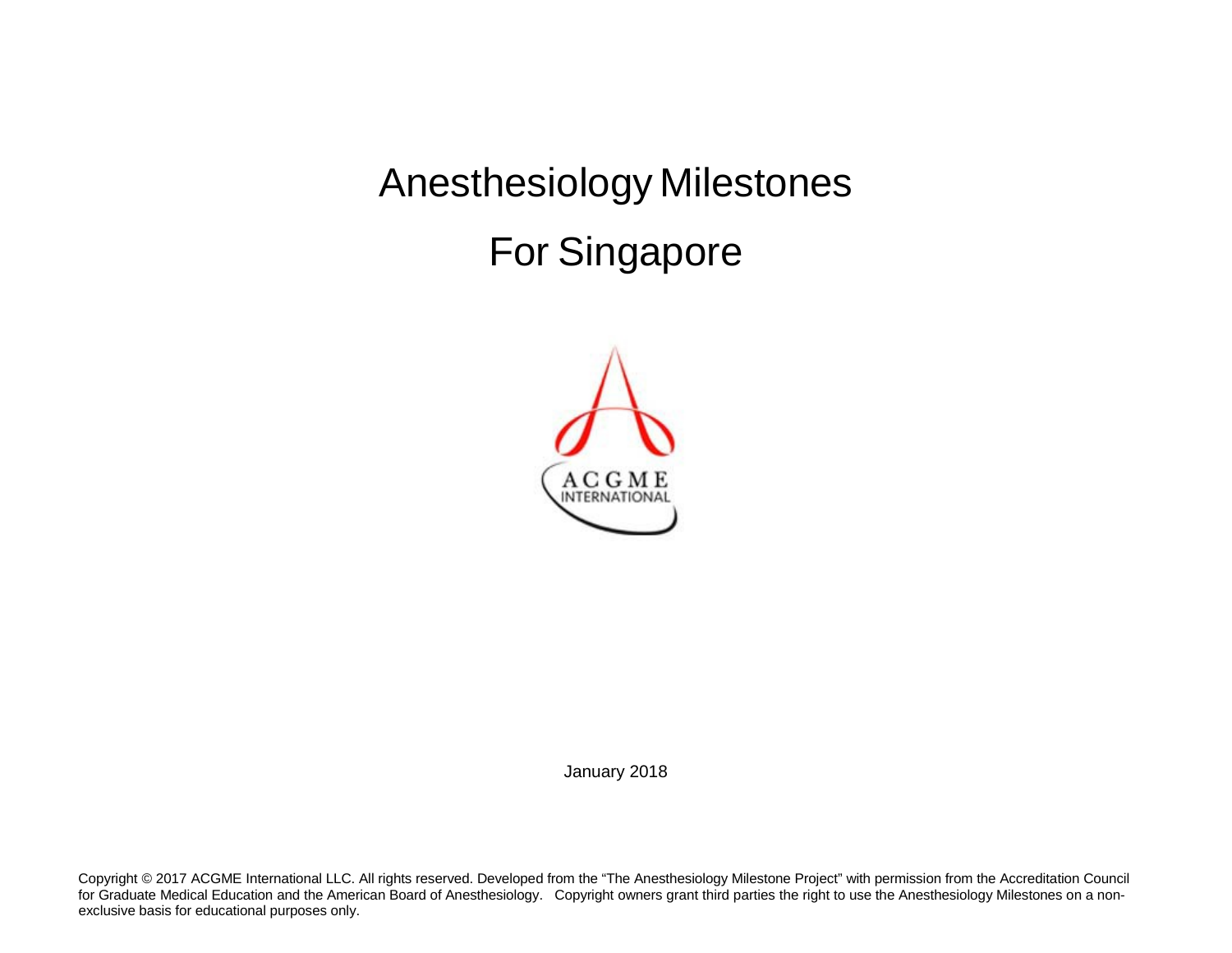Anesthesiology Milestones For Singapore



January 2018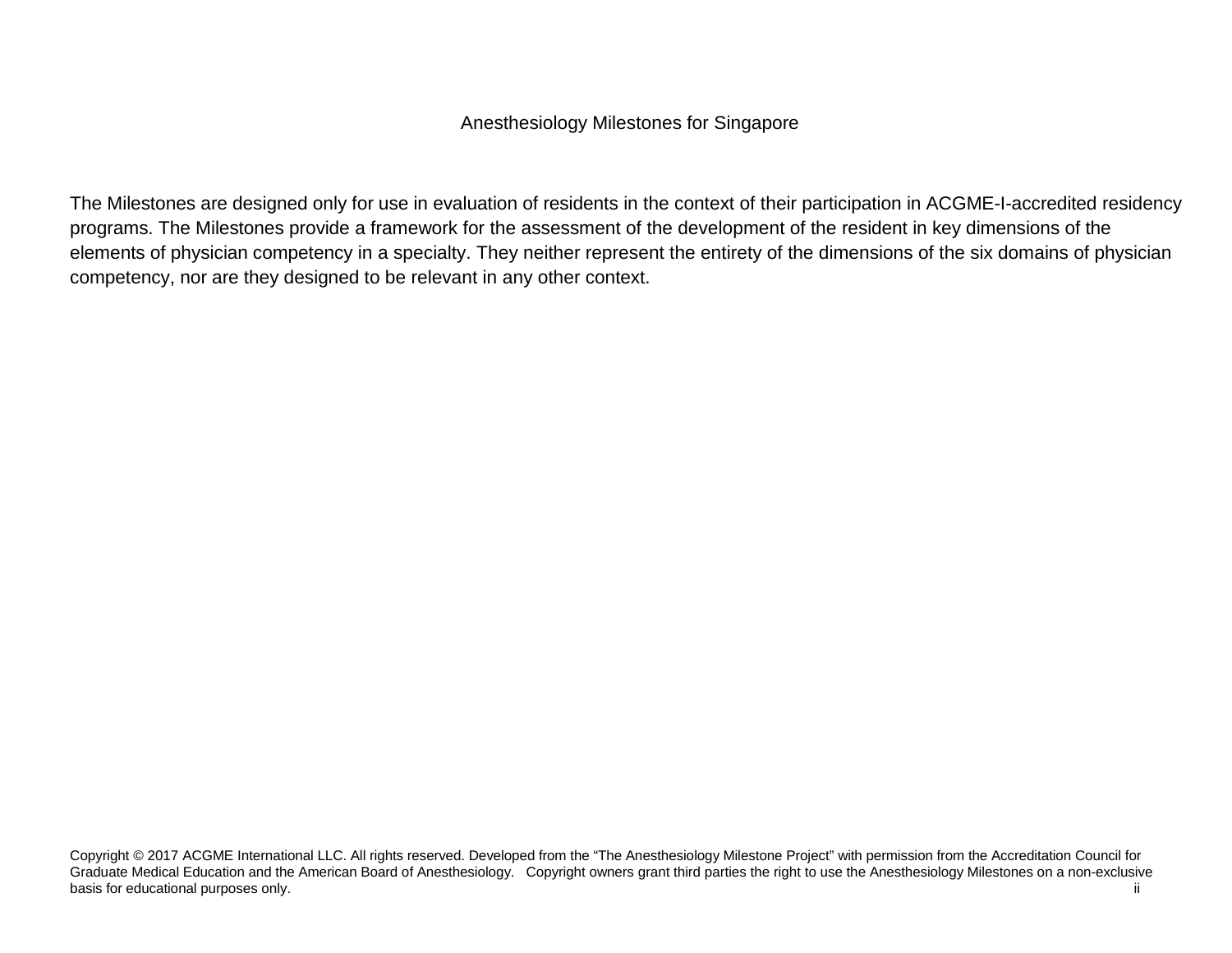## Anesthesiology Milestones for Singapore

The Milestones are designed only for use in evaluation of residents in the context of their participation in ACGME-I-accredited residency programs. The Milestones provide a framework for the assessment of the development of the resident in key dimensions of the elements of physician competency in a specialty. They neither represent the entirety of the dimensions of the six domains of physician competency, nor are they designed to be relevant in any other context.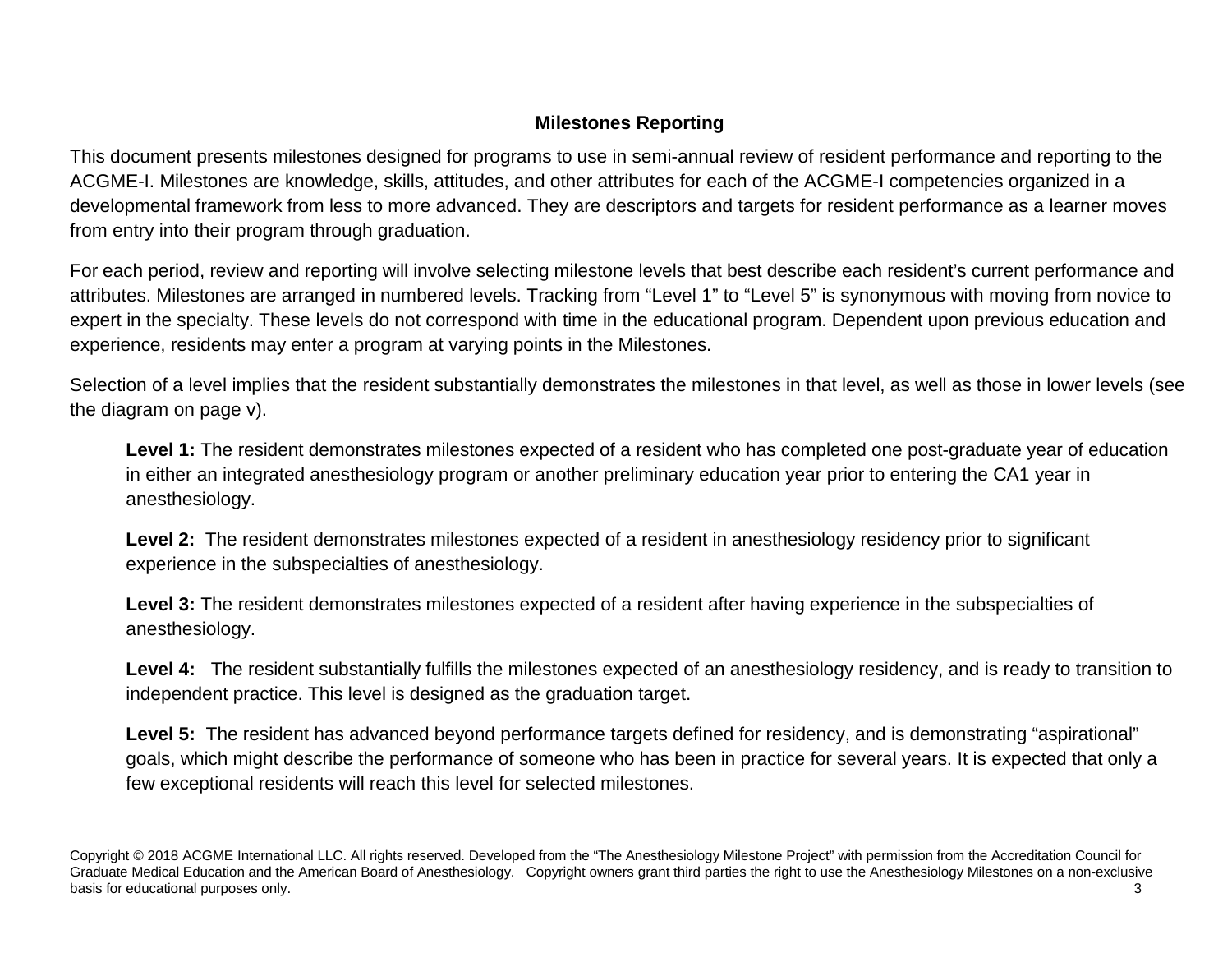## **Milestones Reporting**

This document presents milestones designed for programs to use in semi-annual review of resident performance and reporting to the ACGME-I. Milestones are knowledge, skills, attitudes, and other attributes for each of the ACGME-I competencies organized in a developmental framework from less to more advanced. They are descriptors and targets for resident performance as a learner moves from entry into their program through graduation.

For each period, review and reporting will involve selecting milestone levels that best describe each resident's current performance and attributes. Milestones are arranged in numbered levels. Tracking from "Level 1" to "Level 5" is synonymous with moving from novice to expert in the specialty. These levels do not correspond with time in the educational program. Dependent upon previous education and experience, residents may enter a program at varying points in the Milestones.

Selection of a level implies that the resident substantially demonstrates the milestones in that level, as well as those in lower levels (see the diagram on page v).

Level 1: The resident demonstrates milestones expected of a resident who has completed one post-graduate year of education in either an integrated anesthesiology program or another preliminary education year prior to entering the CA1 year in anesthesiology.

**Level 2:** The resident demonstrates milestones expected of a resident in anesthesiology residency prior to significant experience in the subspecialties of anesthesiology.

**Level 3:** The resident demonstrates milestones expected of a resident after having experience in the subspecialties of anesthesiology.

Level 4: The resident substantially fulfills the milestones expected of an anesthesiology residency, and is ready to transition to independent practice. This level is designed as the graduation target.

Level 5: The resident has advanced beyond performance targets defined for residency, and is demonstrating "aspirational" goals, which might describe the performance of someone who has been in practice for several years. It is expected that only a few exceptional residents will reach this level for selected milestones.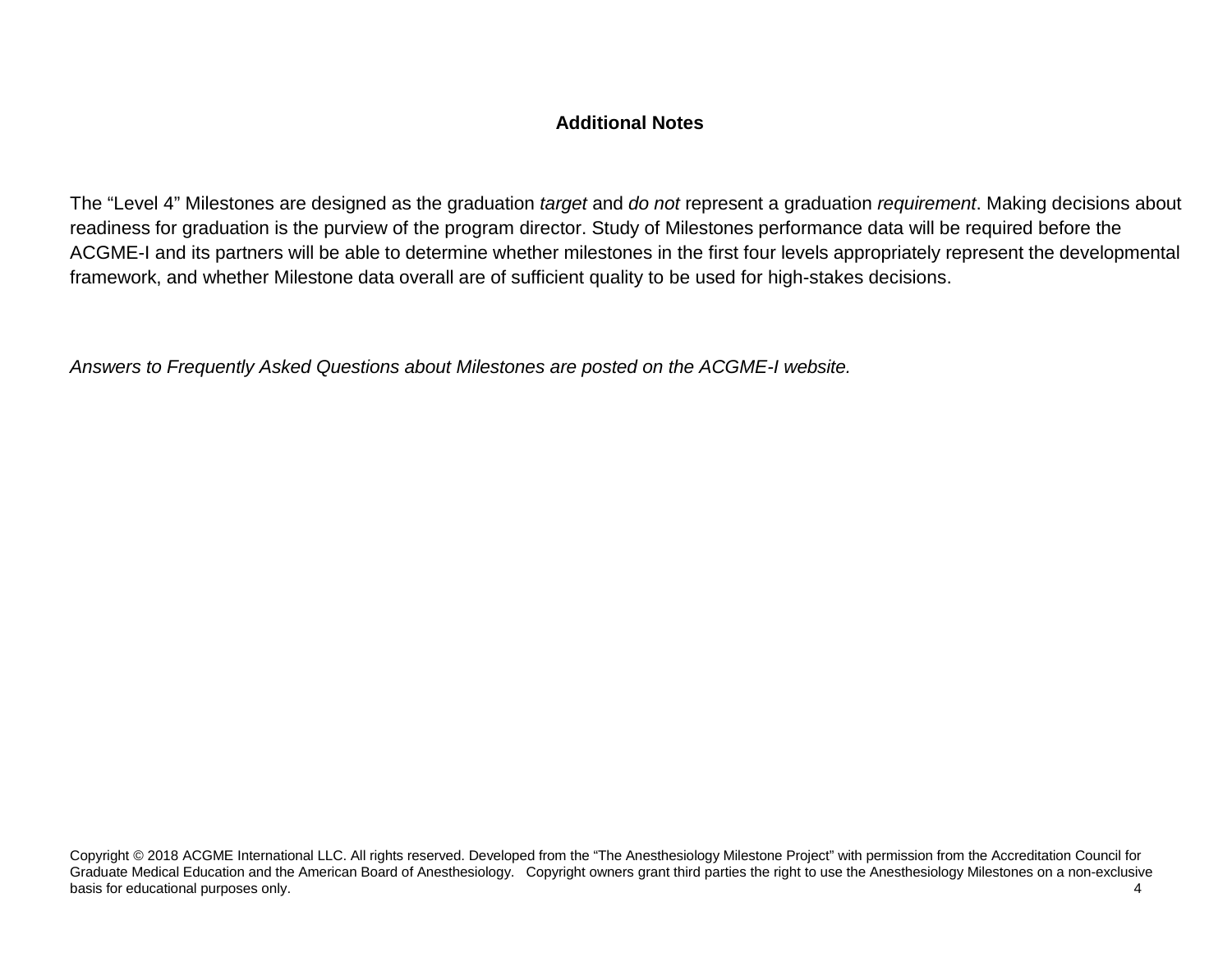## **Additional Notes**

The "Level 4" Milestones are designed as the graduation *target* and *do not* represent a graduation *requirement*. Making decisions about readiness for graduation is the purview of the program director. Study of Milestones performance data will be required before the ACGME-I and its partners will be able to determine whether milestones in the first four levels appropriately represent the developmental framework, and whether Milestone data overall are of sufficient quality to be used for high-stakes decisions.

*Answers to Frequently Asked Questions about Milestones are posted on the ACGME-I website.*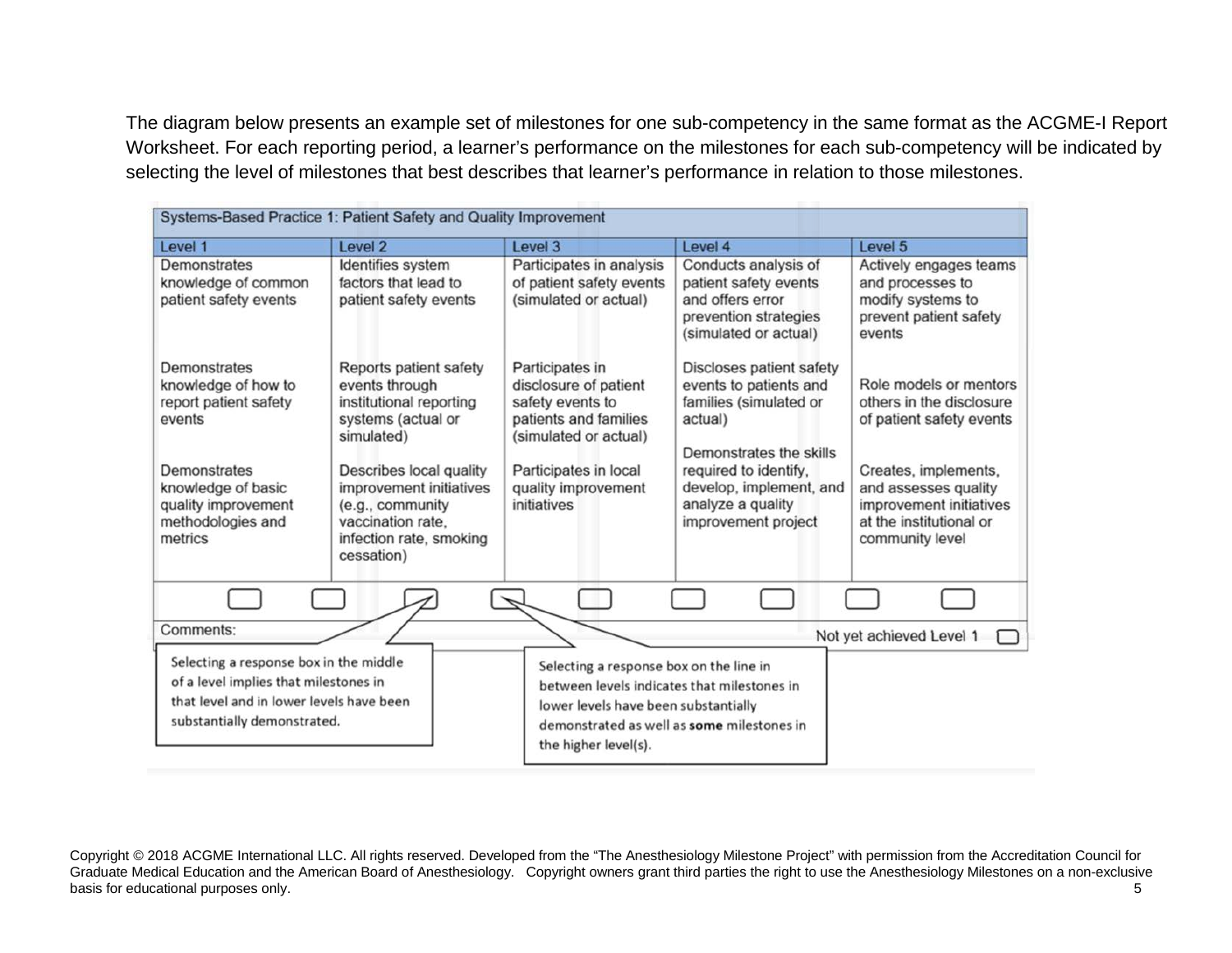The diagram below presents an example set of milestones for one sub-competency in the same format as the ACGME-I Report Worksheet. For each reporting period, a learner's performance on the milestones for each sub-competency will be indicated by selecting the level of milestones that best describes that learner's performance in relation to those milestones.

| Systems-Based Practice 1: Patient Safety and Quality Improvement                                                                                                    |                                                                                                                                                                                                                                                 |                                                                                                                                                                               |                                                                                                                                                                                                                    |                                                                                                                                                                                                         |  |
|---------------------------------------------------------------------------------------------------------------------------------------------------------------------|-------------------------------------------------------------------------------------------------------------------------------------------------------------------------------------------------------------------------------------------------|-------------------------------------------------------------------------------------------------------------------------------------------------------------------------------|--------------------------------------------------------------------------------------------------------------------------------------------------------------------------------------------------------------------|---------------------------------------------------------------------------------------------------------------------------------------------------------------------------------------------------------|--|
| Level 1                                                                                                                                                             | Level 2                                                                                                                                                                                                                                         | Level 3                                                                                                                                                                       | Level 4                                                                                                                                                                                                            | Level 5                                                                                                                                                                                                 |  |
| Demonstrates<br>knowledge of common<br>patient safety events                                                                                                        | Identifies system<br>factors that lead to<br>patient safety events                                                                                                                                                                              | Participates in analysis<br>of patient safety events<br>(simulated or actual)                                                                                                 | Conducts analysis of<br>patient safety events<br>and offers error<br>prevention strategies<br>(simulated or actual)                                                                                                | Actively engages teams<br>and processes to<br>modify systems to<br>prevent patient safety<br>events                                                                                                     |  |
| Demonstrates<br>knowledge of how to<br>report patient safety<br>events<br>Demonstrates<br>knowledge of basic<br>quality improvement<br>methodologies and<br>metrics | Reports patient safety<br>events through<br>institutional reporting<br>systems (actual or<br>simulated)<br>Describes local quality<br>improvement initiatives<br>(e.g., community<br>vaccination rate,<br>infection rate, smoking<br>cessation) | Participates in<br>disclosure of patient<br>safety events to<br>patients and families<br>(simulated or actual)<br>Participates in local<br>quality improvement<br>initiatives | Discloses patient safety<br>events to patients and<br>families (simulated or<br>actual)<br>Demonstrates the skills<br>required to identify,<br>develop, implement, and<br>analyze a quality<br>improvement project | Role models or mentors<br>others in the disclosure<br>of patient safety events<br>Creates, implements,<br>and assesses quality<br>improvement initiatives<br>at the institutional or<br>community level |  |
|                                                                                                                                                                     |                                                                                                                                                                                                                                                 |                                                                                                                                                                               |                                                                                                                                                                                                                    |                                                                                                                                                                                                         |  |
| Comments:                                                                                                                                                           |                                                                                                                                                                                                                                                 |                                                                                                                                                                               |                                                                                                                                                                                                                    | Not yet achieved Level 1                                                                                                                                                                                |  |
| Selecting a response box in the middle<br>of a level implies that milestones in<br>that level and in lower levels have been<br>substantially demonstrated.          |                                                                                                                                                                                                                                                 | Selecting a response box on the line in<br>between levels indicates that milestones in<br>lower levels have been substantially<br>the higher level(s).                        | demonstrated as well as some milestones in                                                                                                                                                                         |                                                                                                                                                                                                         |  |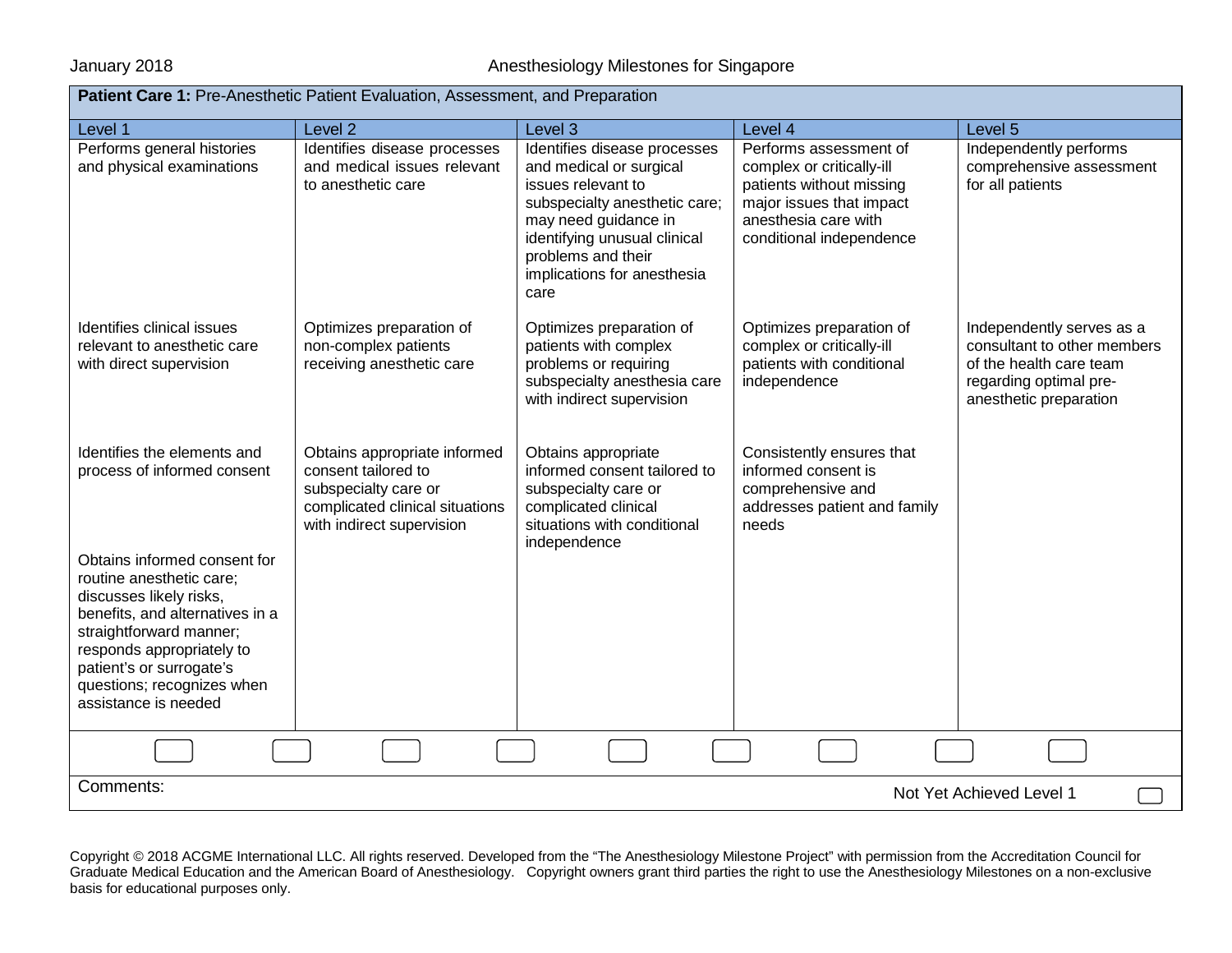## January 2018 **Annual Strutter Engine Strutter Annual Anesthesiology Milestones for Singapore**

| Patient Care 1: Pre-Anesthetic Patient Evaluation, Assessment, and Preparation                                                                                                                                                                                                                                                 |                                                                                                                                             |                                                                                                                                                                                                                                     |                                                                                                                                                                 |                                                                                                                                         |  |
|--------------------------------------------------------------------------------------------------------------------------------------------------------------------------------------------------------------------------------------------------------------------------------------------------------------------------------|---------------------------------------------------------------------------------------------------------------------------------------------|-------------------------------------------------------------------------------------------------------------------------------------------------------------------------------------------------------------------------------------|-----------------------------------------------------------------------------------------------------------------------------------------------------------------|-----------------------------------------------------------------------------------------------------------------------------------------|--|
| Level 1                                                                                                                                                                                                                                                                                                                        | Level <sub>2</sub>                                                                                                                          | Level 3                                                                                                                                                                                                                             | Level 4                                                                                                                                                         | Level 5                                                                                                                                 |  |
| Performs general histories<br>and physical examinations                                                                                                                                                                                                                                                                        | Identifies disease processes<br>and medical issues relevant<br>to anesthetic care                                                           | Identifies disease processes<br>and medical or surgical<br>issues relevant to<br>subspecialty anesthetic care;<br>may need guidance in<br>identifying unusual clinical<br>problems and their<br>implications for anesthesia<br>care | Performs assessment of<br>complex or critically-ill<br>patients without missing<br>major issues that impact<br>anesthesia care with<br>conditional independence | Independently performs<br>comprehensive assessment<br>for all patients                                                                  |  |
| Identifies clinical issues<br>relevant to anesthetic care<br>with direct supervision                                                                                                                                                                                                                                           | Optimizes preparation of<br>non-complex patients<br>receiving anesthetic care                                                               | Optimizes preparation of<br>patients with complex<br>problems or requiring<br>subspecialty anesthesia care<br>with indirect supervision                                                                                             | Optimizes preparation of<br>complex or critically-ill<br>patients with conditional<br>independence                                                              | Independently serves as a<br>consultant to other members<br>of the health care team<br>regarding optimal pre-<br>anesthetic preparation |  |
| Identifies the elements and<br>process of informed consent<br>Obtains informed consent for<br>routine anesthetic care;<br>discusses likely risks,<br>benefits, and alternatives in a<br>straightforward manner;<br>responds appropriately to<br>patient's or surrogate's<br>questions; recognizes when<br>assistance is needed | Obtains appropriate informed<br>consent tailored to<br>subspecialty care or<br>complicated clinical situations<br>with indirect supervision | Obtains appropriate<br>informed consent tailored to<br>subspecialty care or<br>complicated clinical<br>situations with conditional<br>independence                                                                                  | Consistently ensures that<br>informed consent is<br>comprehensive and<br>addresses patient and family<br>needs                                                  |                                                                                                                                         |  |
|                                                                                                                                                                                                                                                                                                                                |                                                                                                                                             |                                                                                                                                                                                                                                     |                                                                                                                                                                 |                                                                                                                                         |  |
| Comments:                                                                                                                                                                                                                                                                                                                      |                                                                                                                                             |                                                                                                                                                                                                                                     |                                                                                                                                                                 | Not Yet Achieved Level 1                                                                                                                |  |
|                                                                                                                                                                                                                                                                                                                                |                                                                                                                                             |                                                                                                                                                                                                                                     |                                                                                                                                                                 |                                                                                                                                         |  |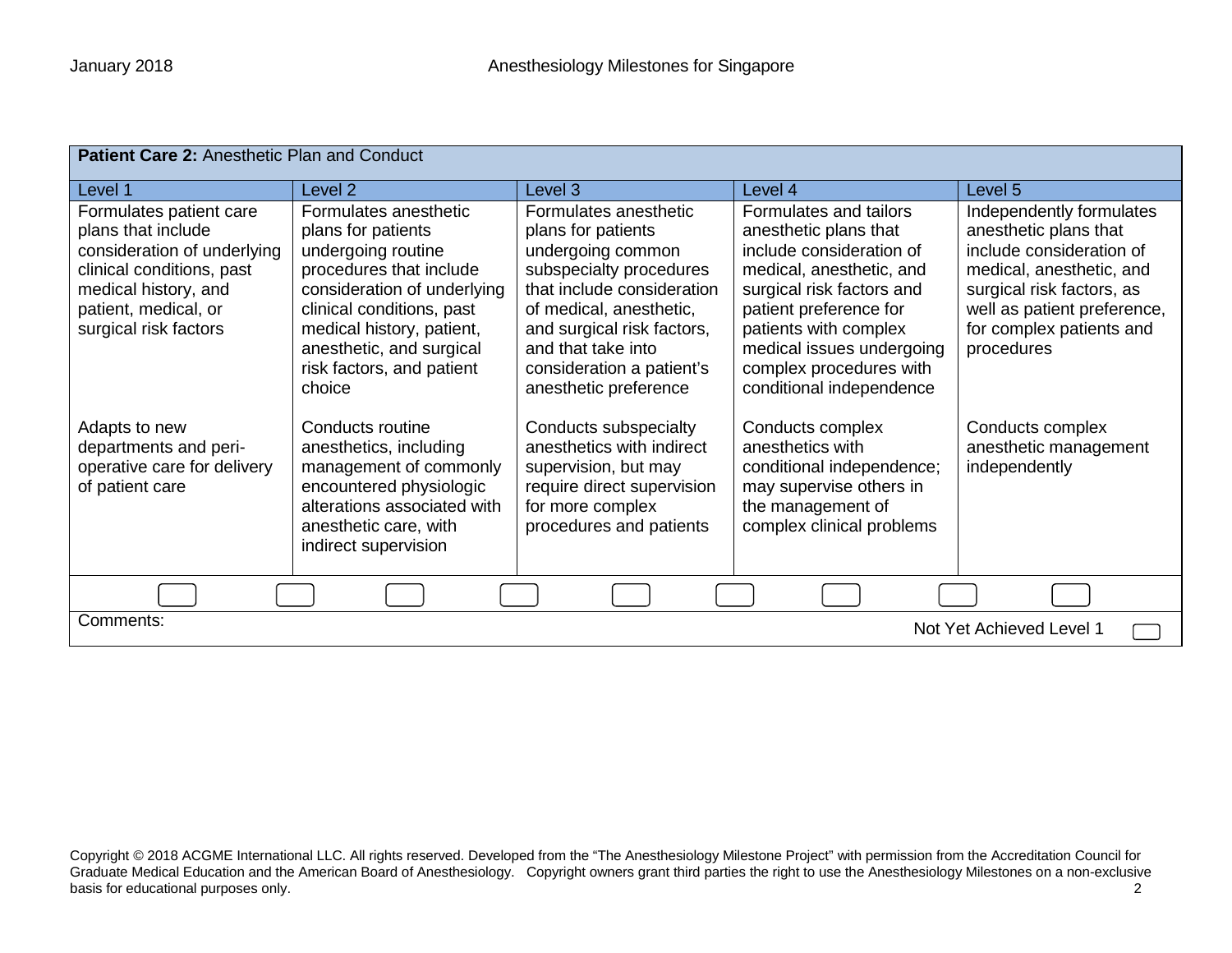| Patient Care 2: Anesthetic Plan and Conduct                                                                                                                                        |                                                                                                                                                                                                                                                          |                                                                                                                                                                                                                                                                |                                                                                                                                                                                                                                                                             |                                                                                                                                                                                                                 |  |
|------------------------------------------------------------------------------------------------------------------------------------------------------------------------------------|----------------------------------------------------------------------------------------------------------------------------------------------------------------------------------------------------------------------------------------------------------|----------------------------------------------------------------------------------------------------------------------------------------------------------------------------------------------------------------------------------------------------------------|-----------------------------------------------------------------------------------------------------------------------------------------------------------------------------------------------------------------------------------------------------------------------------|-----------------------------------------------------------------------------------------------------------------------------------------------------------------------------------------------------------------|--|
| Level 1                                                                                                                                                                            | Level 2                                                                                                                                                                                                                                                  | Level 3                                                                                                                                                                                                                                                        | Level 4                                                                                                                                                                                                                                                                     | Level 5                                                                                                                                                                                                         |  |
| Formulates patient care<br>plans that include<br>consideration of underlying<br>clinical conditions, past<br>medical history, and<br>patient, medical, or<br>surgical risk factors | Formulates anesthetic<br>plans for patients<br>undergoing routine<br>procedures that include<br>consideration of underlying<br>clinical conditions, past<br>medical history, patient,<br>anesthetic, and surgical<br>risk factors, and patient<br>choice | Formulates anesthetic<br>plans for patients<br>undergoing common<br>subspecialty procedures<br>that include consideration<br>of medical, anesthetic,<br>and surgical risk factors,<br>and that take into<br>consideration a patient's<br>anesthetic preference | Formulates and tailors<br>anesthetic plans that<br>include consideration of<br>medical, anesthetic, and<br>surgical risk factors and<br>patient preference for<br>patients with complex<br>medical issues undergoing<br>complex procedures with<br>conditional independence | Independently formulates<br>anesthetic plans that<br>include consideration of<br>medical, anesthetic, and<br>surgical risk factors, as<br>well as patient preference,<br>for complex patients and<br>procedures |  |
| Adapts to new<br>departments and peri-<br>operative care for delivery<br>of patient care                                                                                           | Conducts routine<br>anesthetics, including<br>management of commonly<br>encountered physiologic<br>alterations associated with<br>anesthetic care, with<br>indirect supervision                                                                          | Conducts subspecialty<br>anesthetics with indirect<br>supervision, but may<br>require direct supervision<br>for more complex<br>procedures and patients                                                                                                        | Conducts complex<br>anesthetics with<br>conditional independence;<br>may supervise others in<br>the management of<br>complex clinical problems                                                                                                                              | Conducts complex<br>anesthetic management<br>independently                                                                                                                                                      |  |
|                                                                                                                                                                                    |                                                                                                                                                                                                                                                          |                                                                                                                                                                                                                                                                |                                                                                                                                                                                                                                                                             |                                                                                                                                                                                                                 |  |
| Comments:<br>Not Yet Achieved Level 1                                                                                                                                              |                                                                                                                                                                                                                                                          |                                                                                                                                                                                                                                                                |                                                                                                                                                                                                                                                                             |                                                                                                                                                                                                                 |  |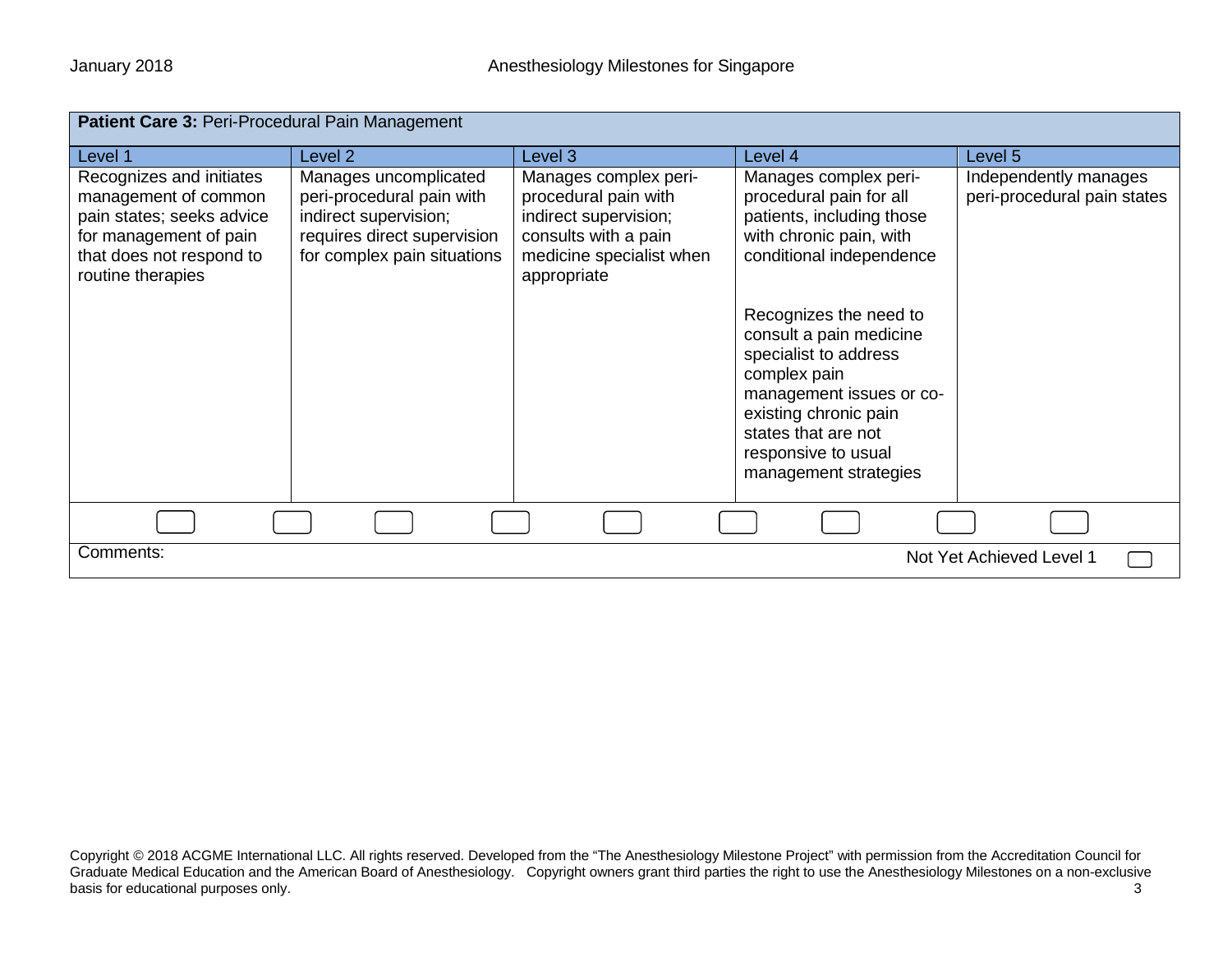| Patient Care 3: Peri-Procedural Pain Management                                                                                                          |                                                                                                                                           |                                                                                                                                           |                                                                                                                                                                                                                        |                                                      |  |
|----------------------------------------------------------------------------------------------------------------------------------------------------------|-------------------------------------------------------------------------------------------------------------------------------------------|-------------------------------------------------------------------------------------------------------------------------------------------|------------------------------------------------------------------------------------------------------------------------------------------------------------------------------------------------------------------------|------------------------------------------------------|--|
| Level 1                                                                                                                                                  | Level <sub>2</sub>                                                                                                                        | Level 3                                                                                                                                   | Level 4                                                                                                                                                                                                                | Level 5                                              |  |
| Recognizes and initiates<br>management of common<br>pain states; seeks advice<br>for management of pain<br>that does not respond to<br>routine therapies | Manages uncomplicated<br>peri-procedural pain with<br>indirect supervision;<br>requires direct supervision<br>for complex pain situations | Manages complex peri-<br>procedural pain with<br>indirect supervision;<br>consults with a pain<br>medicine specialist when<br>appropriate | Manages complex peri-<br>procedural pain for all<br>patients, including those<br>with chronic pain, with<br>conditional independence                                                                                   | Independently manages<br>peri-procedural pain states |  |
|                                                                                                                                                          |                                                                                                                                           |                                                                                                                                           | Recognizes the need to<br>consult a pain medicine<br>specialist to address<br>complex pain<br>management issues or co-<br>existing chronic pain<br>states that are not<br>responsive to usual<br>management strategies |                                                      |  |
|                                                                                                                                                          |                                                                                                                                           |                                                                                                                                           |                                                                                                                                                                                                                        |                                                      |  |
| Comments:                                                                                                                                                |                                                                                                                                           |                                                                                                                                           |                                                                                                                                                                                                                        | Not Yet Achieved Level 1                             |  |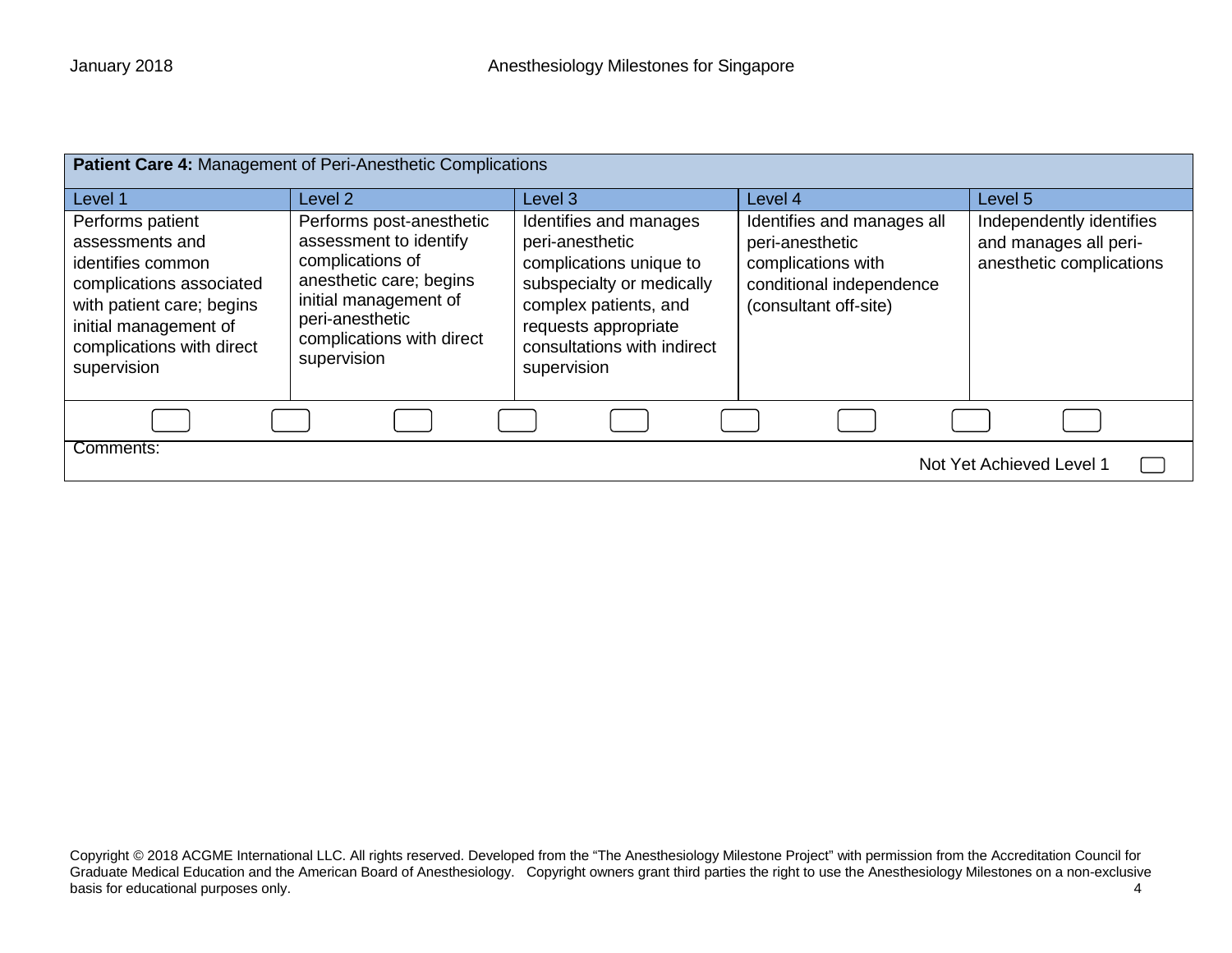| Patient Care 4: Management of Peri-Anesthetic Complications                                                                                                                            |                                                                                                                                                                                           |                                                                                                                                                                                                  |                                                                                                                          |                                                                               |
|----------------------------------------------------------------------------------------------------------------------------------------------------------------------------------------|-------------------------------------------------------------------------------------------------------------------------------------------------------------------------------------------|--------------------------------------------------------------------------------------------------------------------------------------------------------------------------------------------------|--------------------------------------------------------------------------------------------------------------------------|-------------------------------------------------------------------------------|
| Level 1                                                                                                                                                                                | Level 2                                                                                                                                                                                   | Level 3                                                                                                                                                                                          | Level 4                                                                                                                  | Level 5                                                                       |
| Performs patient<br>assessments and<br>identifies common<br>complications associated<br>with patient care; begins<br>initial management of<br>complications with direct<br>supervision | Performs post-anesthetic<br>assessment to identify<br>complications of<br>anesthetic care; begins<br>initial management of<br>peri-anesthetic<br>complications with direct<br>supervision | Identifies and manages<br>peri-anesthetic<br>complications unique to<br>subspecialty or medically<br>complex patients, and<br>requests appropriate<br>consultations with indirect<br>supervision | Identifies and manages all<br>peri-anesthetic<br>complications with<br>conditional independence<br>(consultant off-site) | Independently identifies<br>and manages all peri-<br>anesthetic complications |
|                                                                                                                                                                                        |                                                                                                                                                                                           |                                                                                                                                                                                                  |                                                                                                                          |                                                                               |
| Comments:<br>Not Yet Achieved Level 1                                                                                                                                                  |                                                                                                                                                                                           |                                                                                                                                                                                                  |                                                                                                                          |                                                                               |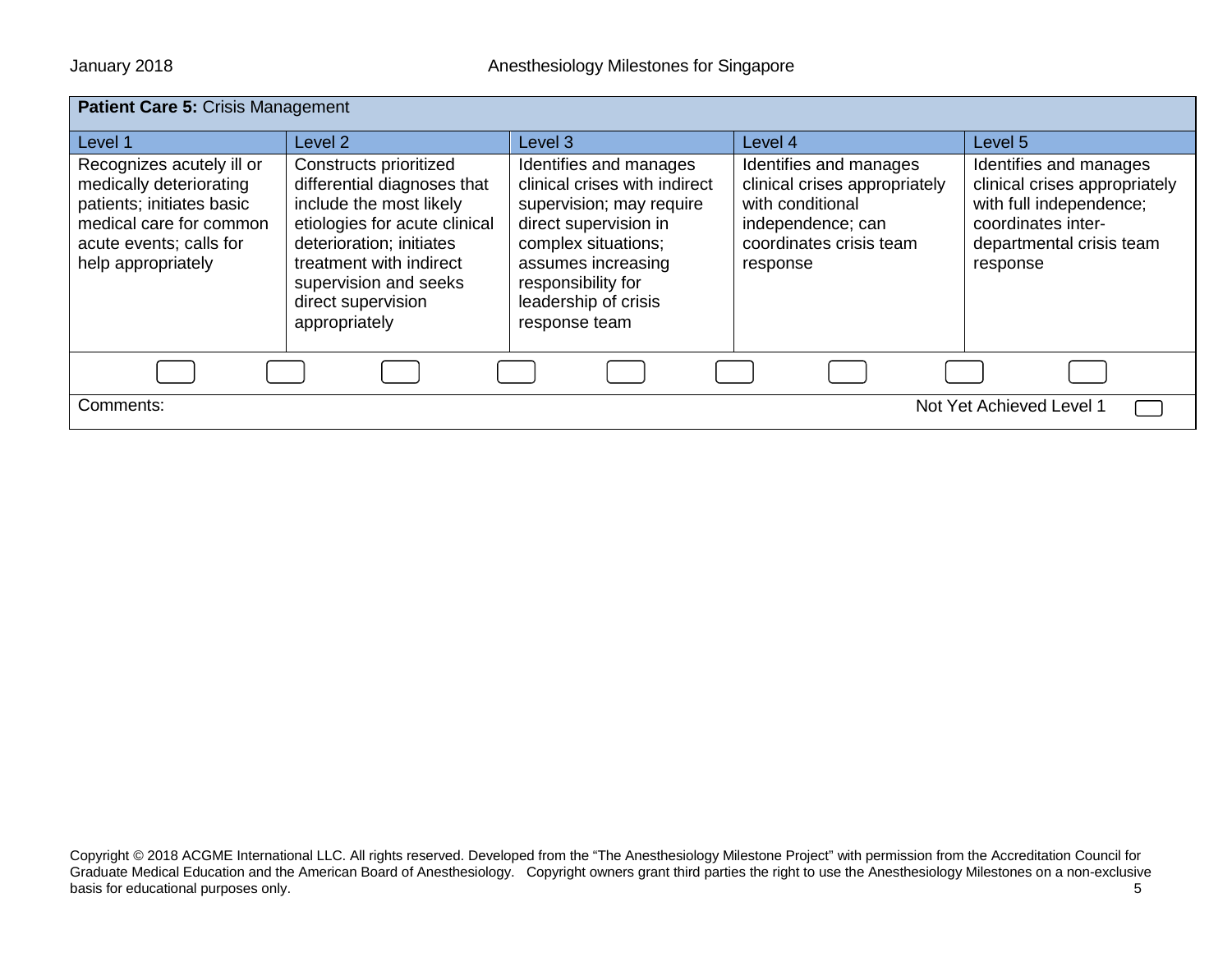| Patient Care 5: Crisis Management                                                                                                                             |                                                                                                                                                                                                                                          |                                                                                                                                                                                                                          |                                                                                                                                         |                                                                                                                                                  |
|---------------------------------------------------------------------------------------------------------------------------------------------------------------|------------------------------------------------------------------------------------------------------------------------------------------------------------------------------------------------------------------------------------------|--------------------------------------------------------------------------------------------------------------------------------------------------------------------------------------------------------------------------|-----------------------------------------------------------------------------------------------------------------------------------------|--------------------------------------------------------------------------------------------------------------------------------------------------|
| Level 1                                                                                                                                                       | Level 2                                                                                                                                                                                                                                  | Level 3                                                                                                                                                                                                                  | Level 4                                                                                                                                 | Level 5                                                                                                                                          |
| Recognizes acutely ill or<br>medically deteriorating<br>patients; initiates basic<br>medical care for common<br>acute events; calls for<br>help appropriately | Constructs prioritized<br>differential diagnoses that<br>include the most likely<br>etiologies for acute clinical<br>deterioration; initiates<br>treatment with indirect<br>supervision and seeks<br>direct supervision<br>appropriately | Identifies and manages<br>clinical crises with indirect<br>supervision; may require<br>direct supervision in<br>complex situations;<br>assumes increasing<br>responsibility for<br>leadership of crisis<br>response team | Identifies and manages<br>clinical crises appropriately<br>with conditional<br>independence; can<br>coordinates crisis team<br>response | Identifies and manages<br>clinical crises appropriately<br>with full independence;<br>coordinates inter-<br>departmental crisis team<br>response |
|                                                                                                                                                               |                                                                                                                                                                                                                                          |                                                                                                                                                                                                                          |                                                                                                                                         |                                                                                                                                                  |
| Comments:<br>Not Yet Achieved Level 1                                                                                                                         |                                                                                                                                                                                                                                          |                                                                                                                                                                                                                          |                                                                                                                                         |                                                                                                                                                  |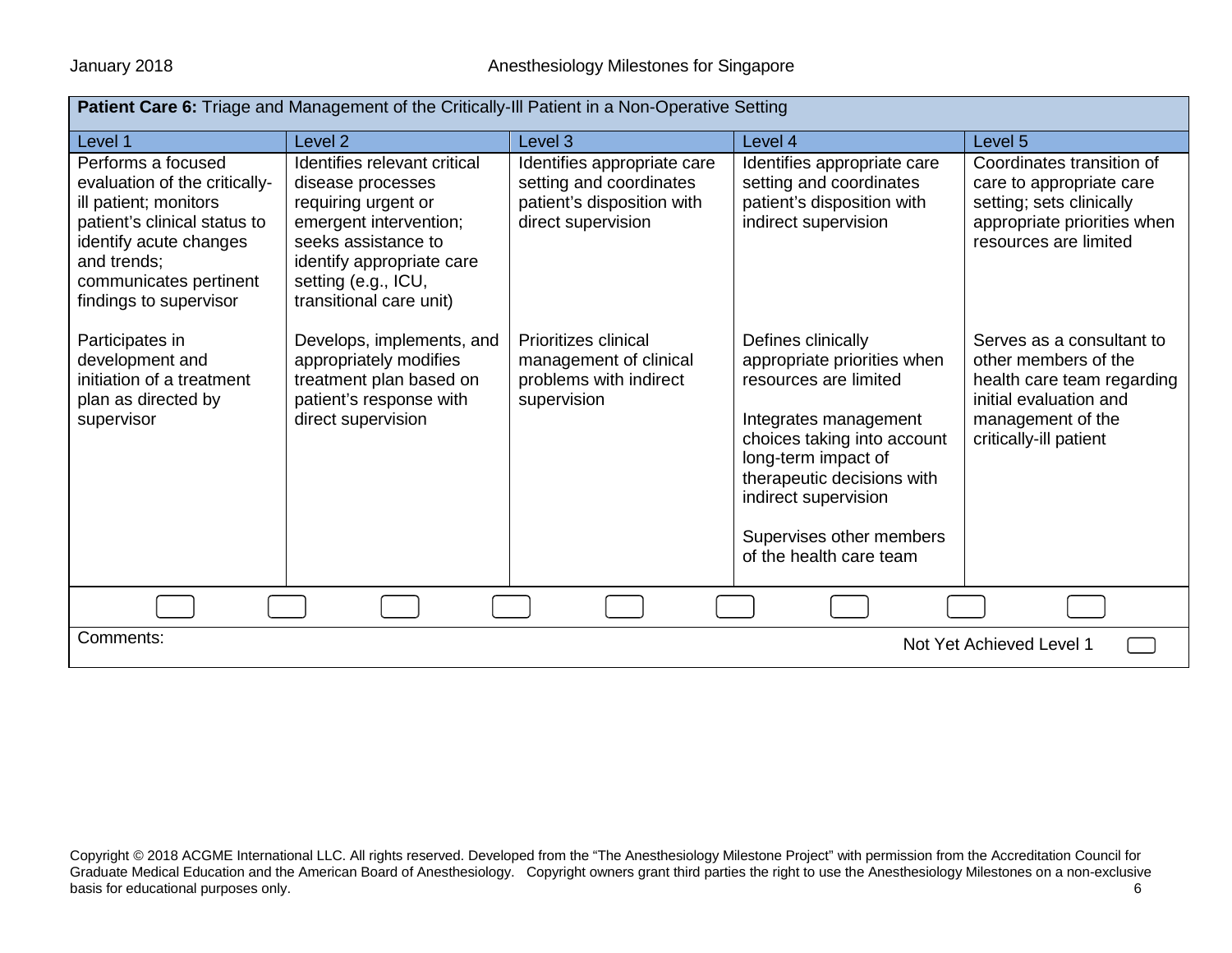| <b>Patient Care 6:</b> Triage and Management of the Critically-III Patient in a Non-Operative Setting                                                                                                     |                                                                                                                                                                                                          |                                                                                                            |                                                                                                                                                                                                                                                                        |                                                                                                                                                          |  |
|-----------------------------------------------------------------------------------------------------------------------------------------------------------------------------------------------------------|----------------------------------------------------------------------------------------------------------------------------------------------------------------------------------------------------------|------------------------------------------------------------------------------------------------------------|------------------------------------------------------------------------------------------------------------------------------------------------------------------------------------------------------------------------------------------------------------------------|----------------------------------------------------------------------------------------------------------------------------------------------------------|--|
| Level 1                                                                                                                                                                                                   | Level <sub>2</sub>                                                                                                                                                                                       | Level 3                                                                                                    | Level 4                                                                                                                                                                                                                                                                | Level 5                                                                                                                                                  |  |
| Performs a focused<br>evaluation of the critically-<br>ill patient; monitors<br>patient's clinical status to<br>identify acute changes<br>and trends;<br>communicates pertinent<br>findings to supervisor | Identifies relevant critical<br>disease processes<br>requiring urgent or<br>emergent intervention;<br>seeks assistance to<br>identify appropriate care<br>setting (e.g., ICU,<br>transitional care unit) | Identifies appropriate care<br>setting and coordinates<br>patient's disposition with<br>direct supervision | Identifies appropriate care<br>setting and coordinates<br>patient's disposition with<br>indirect supervision                                                                                                                                                           | Coordinates transition of<br>care to appropriate care<br>setting; sets clinically<br>appropriate priorities when<br>resources are limited                |  |
| Participates in<br>development and<br>initiation of a treatment<br>plan as directed by<br>supervisor                                                                                                      | Develops, implements, and<br>appropriately modifies<br>treatment plan based on<br>patient's response with<br>direct supervision                                                                          | <b>Prioritizes clinical</b><br>management of clinical<br>problems with indirect<br>supervision             | Defines clinically<br>appropriate priorities when<br>resources are limited<br>Integrates management<br>choices taking into account<br>long-term impact of<br>therapeutic decisions with<br>indirect supervision<br>Supervises other members<br>of the health care team | Serves as a consultant to<br>other members of the<br>health care team regarding<br>initial evaluation and<br>management of the<br>critically-ill patient |  |
|                                                                                                                                                                                                           |                                                                                                                                                                                                          |                                                                                                            |                                                                                                                                                                                                                                                                        |                                                                                                                                                          |  |
| Comments:<br>Not Yet Achieved Level 1                                                                                                                                                                     |                                                                                                                                                                                                          |                                                                                                            |                                                                                                                                                                                                                                                                        |                                                                                                                                                          |  |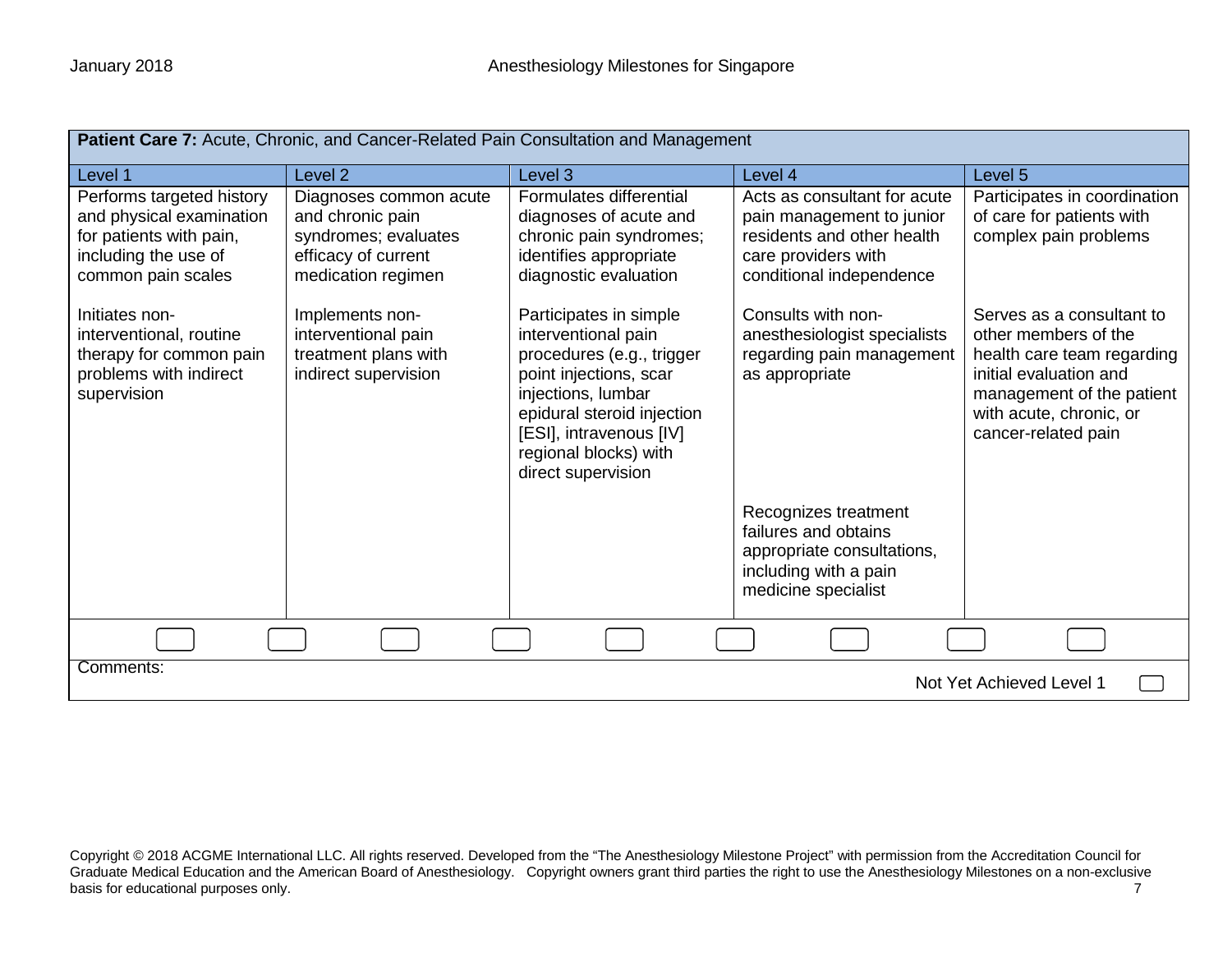| Patient Care 7: Acute, Chronic, and Cancer-Related Pain Consultation and Management                                            |                                                                                                                 |                                                                                                                                                                                                                                    |                                                                                                                                            |                                                                                                                                                                                          |
|--------------------------------------------------------------------------------------------------------------------------------|-----------------------------------------------------------------------------------------------------------------|------------------------------------------------------------------------------------------------------------------------------------------------------------------------------------------------------------------------------------|--------------------------------------------------------------------------------------------------------------------------------------------|------------------------------------------------------------------------------------------------------------------------------------------------------------------------------------------|
| Level 1                                                                                                                        | Level <sub>2</sub>                                                                                              | Level 3                                                                                                                                                                                                                            | Level 4                                                                                                                                    | Level 5                                                                                                                                                                                  |
| Performs targeted history<br>and physical examination<br>for patients with pain,<br>including the use of<br>common pain scales | Diagnoses common acute<br>and chronic pain<br>syndromes; evaluates<br>efficacy of current<br>medication regimen | Formulates differential<br>diagnoses of acute and<br>chronic pain syndromes;<br>identifies appropriate<br>diagnostic evaluation                                                                                                    | Acts as consultant for acute<br>pain management to junior<br>residents and other health<br>care providers with<br>conditional independence | Participates in coordination<br>of care for patients with<br>complex pain problems                                                                                                       |
| Initiates non-<br>interventional, routine<br>therapy for common pain<br>problems with indirect<br>supervision                  | Implements non-<br>interventional pain<br>treatment plans with<br>indirect supervision                          | Participates in simple<br>interventional pain<br>procedures (e.g., trigger<br>point injections, scar<br>injections, lumbar<br>epidural steroid injection<br>[ESI], intravenous [IV]<br>regional blocks) with<br>direct supervision | Consults with non-<br>anesthesiologist specialists<br>regarding pain management<br>as appropriate                                          | Serves as a consultant to<br>other members of the<br>health care team regarding<br>initial evaluation and<br>management of the patient<br>with acute, chronic, or<br>cancer-related pain |
|                                                                                                                                |                                                                                                                 |                                                                                                                                                                                                                                    | Recognizes treatment<br>failures and obtains<br>appropriate consultations,<br>including with a pain<br>medicine specialist                 |                                                                                                                                                                                          |
|                                                                                                                                |                                                                                                                 |                                                                                                                                                                                                                                    |                                                                                                                                            |                                                                                                                                                                                          |
| Comments:<br>Not Yet Achieved Level 1                                                                                          |                                                                                                                 |                                                                                                                                                                                                                                    |                                                                                                                                            |                                                                                                                                                                                          |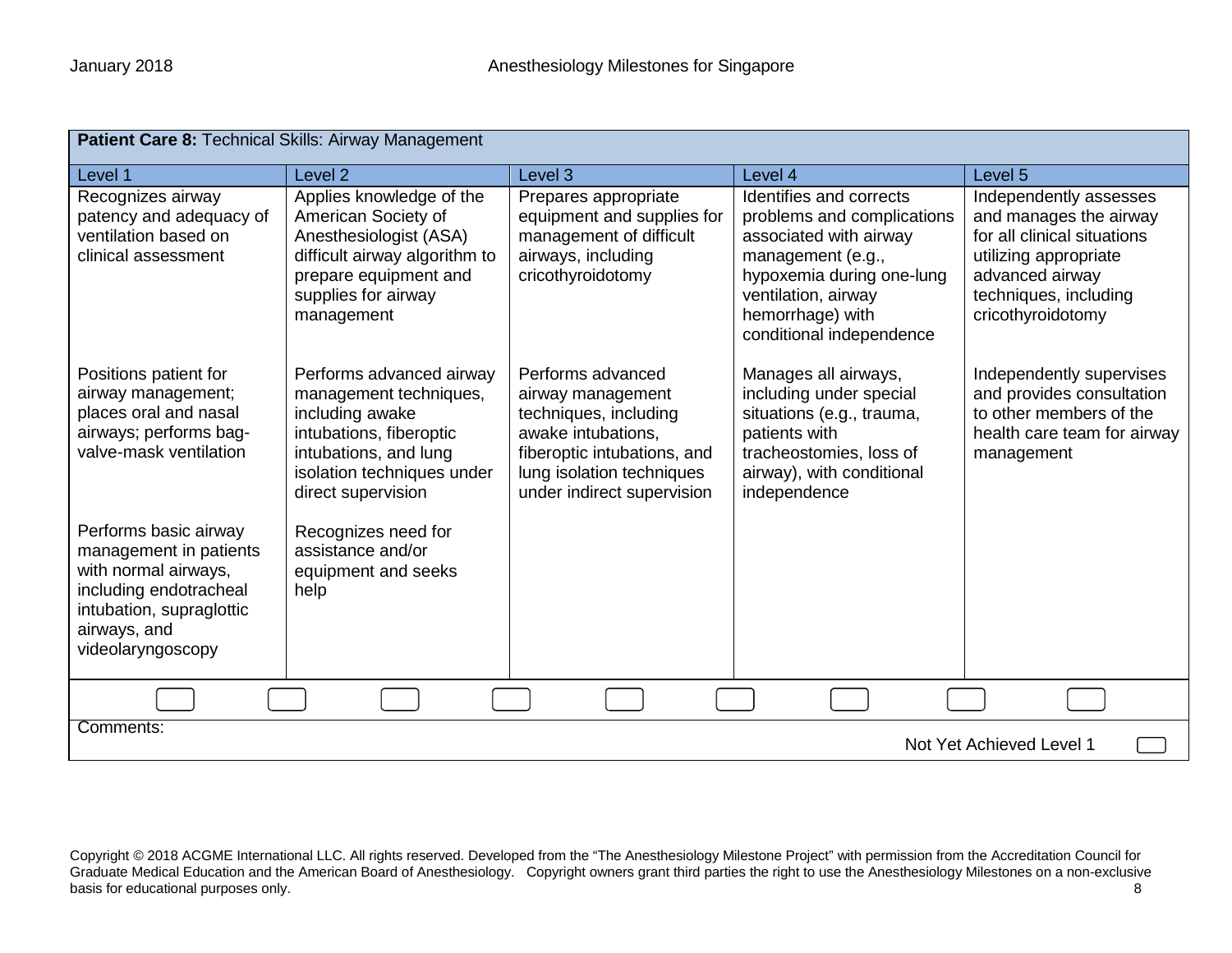| Patient Care 8: Technical Skills: Airway Management                                                                                                                |                                                                                                                                                                               |                                                                                                                                                                                 |                                                                                                                                                                                                          |                                                                                                                                                                           |
|--------------------------------------------------------------------------------------------------------------------------------------------------------------------|-------------------------------------------------------------------------------------------------------------------------------------------------------------------------------|---------------------------------------------------------------------------------------------------------------------------------------------------------------------------------|----------------------------------------------------------------------------------------------------------------------------------------------------------------------------------------------------------|---------------------------------------------------------------------------------------------------------------------------------------------------------------------------|
| Level 1                                                                                                                                                            | Level <sub>2</sub>                                                                                                                                                            | Level 3                                                                                                                                                                         | Level 4                                                                                                                                                                                                  | Level 5                                                                                                                                                                   |
| Recognizes airway<br>patency and adequacy of<br>ventilation based on<br>clinical assessment                                                                        | Applies knowledge of the<br>American Society of<br>Anesthesiologist (ASA)<br>difficult airway algorithm to<br>prepare equipment and<br>supplies for airway<br>management      | Prepares appropriate<br>equipment and supplies for<br>management of difficult<br>airways, including<br>cricothyroidotomy                                                        | Identifies and corrects<br>problems and complications<br>associated with airway<br>management (e.g.,<br>hypoxemia during one-lung<br>ventilation, airway<br>hemorrhage) with<br>conditional independence | Independently assesses<br>and manages the airway<br>for all clinical situations<br>utilizing appropriate<br>advanced airway<br>techniques, including<br>cricothyroidotomy |
| Positions patient for<br>airway management;<br>places oral and nasal<br>airways; performs bag-<br>valve-mask ventilation                                           | Performs advanced airway<br>management techniques,<br>including awake<br>intubations, fiberoptic<br>intubations, and lung<br>isolation techniques under<br>direct supervision | Performs advanced<br>airway management<br>techniques, including<br>awake intubations.<br>fiberoptic intubations, and<br>lung isolation techniques<br>under indirect supervision | Manages all airways,<br>including under special<br>situations (e.g., trauma,<br>patients with<br>tracheostomies, loss of<br>airway), with conditional<br>independence                                    | Independently supervises<br>and provides consultation<br>to other members of the<br>health care team for airway<br>management                                             |
| Performs basic airway<br>management in patients<br>with normal airways,<br>including endotracheal<br>intubation, supraglottic<br>airways, and<br>videolaryngoscopy | Recognizes need for<br>assistance and/or<br>equipment and seeks<br>help                                                                                                       |                                                                                                                                                                                 |                                                                                                                                                                                                          |                                                                                                                                                                           |
|                                                                                                                                                                    |                                                                                                                                                                               |                                                                                                                                                                                 |                                                                                                                                                                                                          |                                                                                                                                                                           |
| Comments:<br>Not Yet Achieved Level 1                                                                                                                              |                                                                                                                                                                               |                                                                                                                                                                                 |                                                                                                                                                                                                          |                                                                                                                                                                           |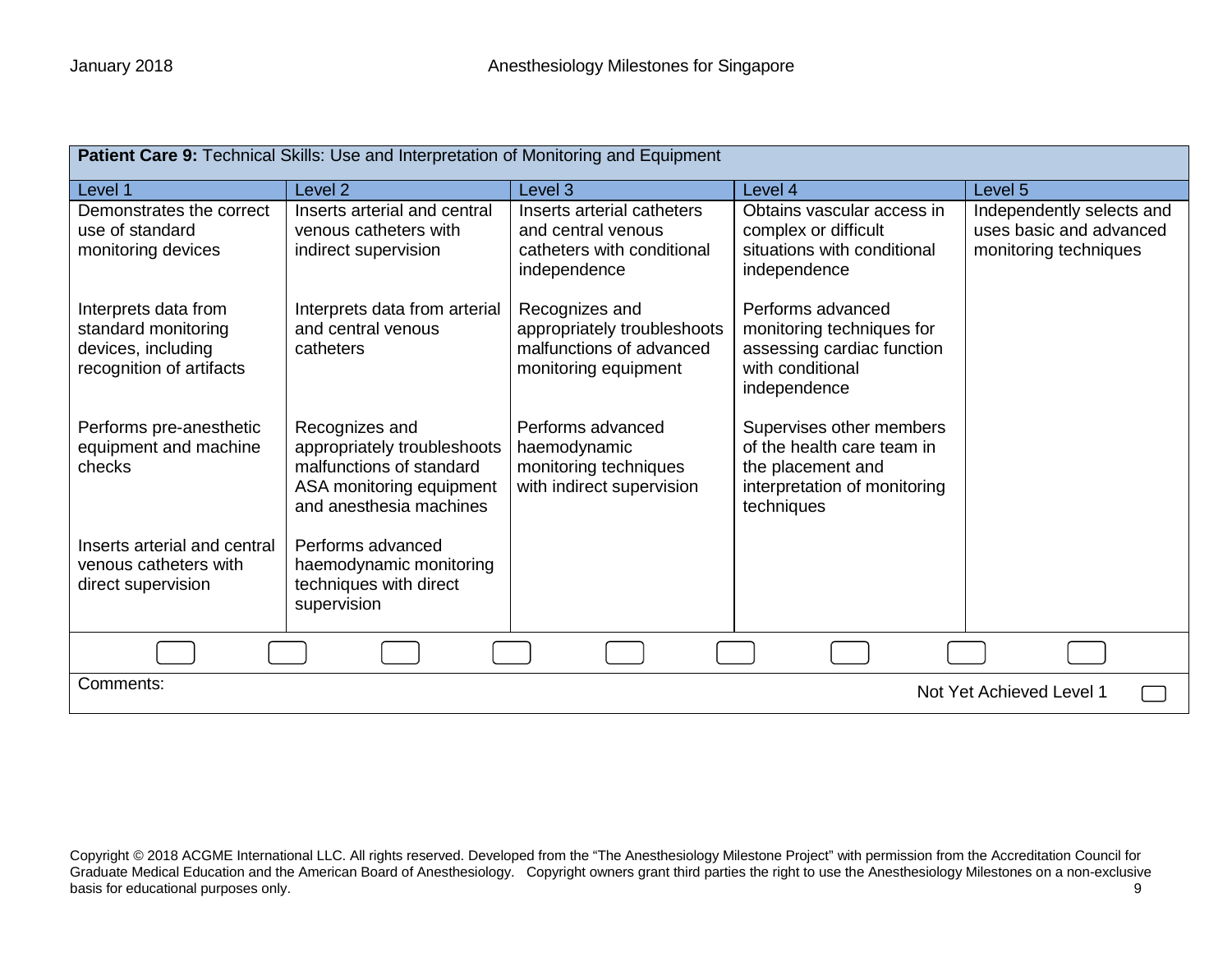| Patient Care 9: Technical Skills: Use and Interpretation of Monitoring and Equipment          |                                                                                                                                  |                                                                                                   |                                                                                                                           |                                                                               |  |
|-----------------------------------------------------------------------------------------------|----------------------------------------------------------------------------------------------------------------------------------|---------------------------------------------------------------------------------------------------|---------------------------------------------------------------------------------------------------------------------------|-------------------------------------------------------------------------------|--|
| Level 1                                                                                       | Level 2                                                                                                                          | Level 3                                                                                           | Level 4                                                                                                                   | Level 5                                                                       |  |
| Demonstrates the correct<br>use of standard<br>monitoring devices                             | Inserts arterial and central<br>venous catheters with<br>indirect supervision                                                    | Inserts arterial catheters<br>and central venous<br>catheters with conditional<br>independence    | Obtains vascular access in<br>complex or difficult<br>situations with conditional<br>independence                         | Independently selects and<br>uses basic and advanced<br>monitoring techniques |  |
| Interprets data from<br>standard monitoring<br>devices, including<br>recognition of artifacts | Interprets data from arterial<br>and central venous<br>catheters                                                                 | Recognizes and<br>appropriately troubleshoots<br>malfunctions of advanced<br>monitoring equipment | Performs advanced<br>monitoring techniques for<br>assessing cardiac function<br>with conditional<br>independence          |                                                                               |  |
| Performs pre-anesthetic<br>equipment and machine<br>checks                                    | Recognizes and<br>appropriately troubleshoots<br>malfunctions of standard<br>ASA monitoring equipment<br>and anesthesia machines | Performs advanced<br>haemodynamic<br>monitoring techniques<br>with indirect supervision           | Supervises other members<br>of the health care team in<br>the placement and<br>interpretation of monitoring<br>techniques |                                                                               |  |
| Inserts arterial and central<br>venous catheters with<br>direct supervision                   | Performs advanced<br>haemodynamic monitoring<br>techniques with direct<br>supervision                                            |                                                                                                   |                                                                                                                           |                                                                               |  |
|                                                                                               |                                                                                                                                  |                                                                                                   |                                                                                                                           |                                                                               |  |
| Comments:                                                                                     | Not Yet Achieved Level 1                                                                                                         |                                                                                                   |                                                                                                                           |                                                                               |  |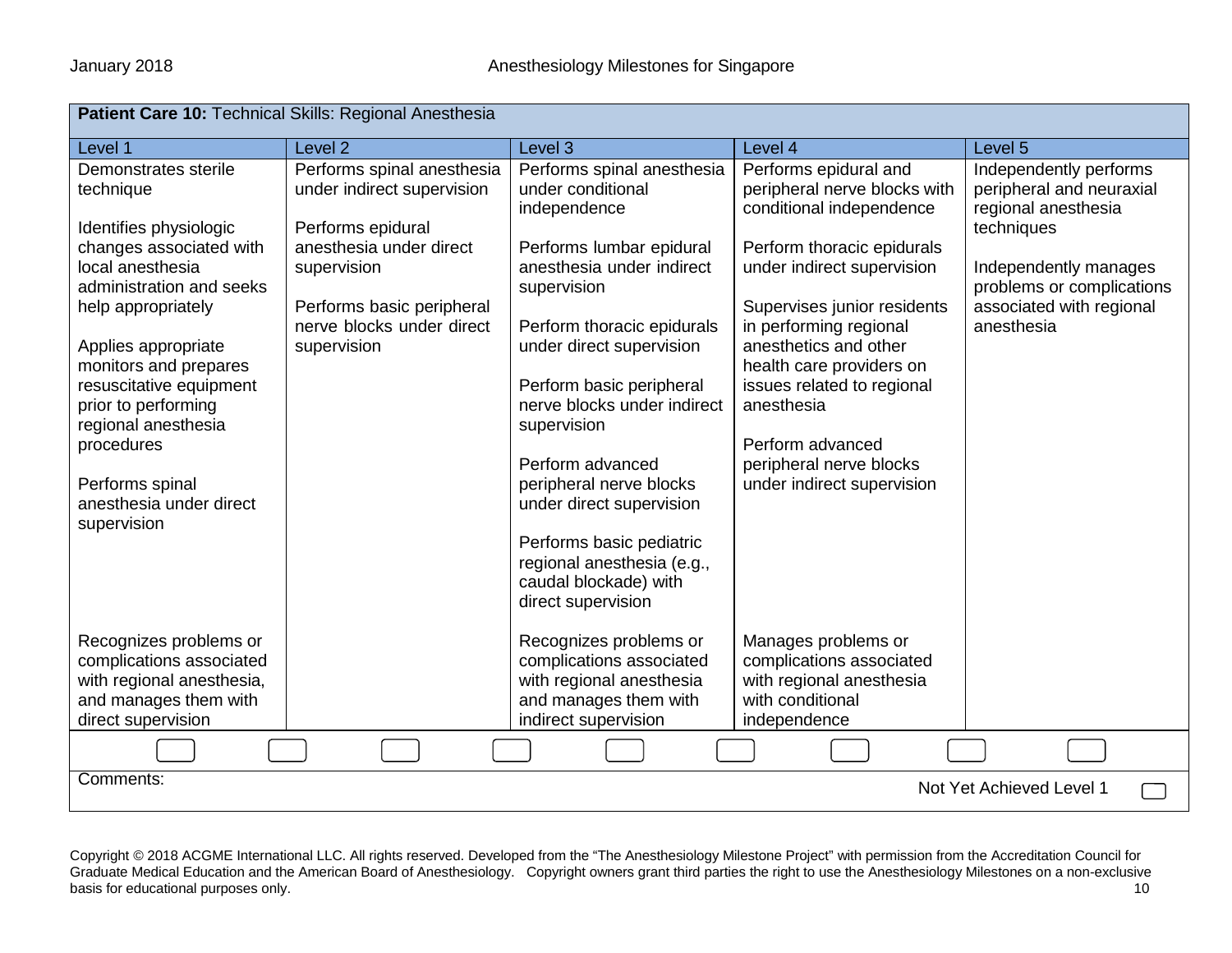| <b>Patient Care 10: Technical Skills: Regional Anesthesia</b>                                                                                                                                    |                                                                                                                                                                                   |                                                                                                                                                                                                                                                                                        |                                                                                                                                                                                                        |                                                                                                                                                                                         |
|--------------------------------------------------------------------------------------------------------------------------------------------------------------------------------------------------|-----------------------------------------------------------------------------------------------------------------------------------------------------------------------------------|----------------------------------------------------------------------------------------------------------------------------------------------------------------------------------------------------------------------------------------------------------------------------------------|--------------------------------------------------------------------------------------------------------------------------------------------------------------------------------------------------------|-----------------------------------------------------------------------------------------------------------------------------------------------------------------------------------------|
| Level 1                                                                                                                                                                                          | Level <sub>2</sub>                                                                                                                                                                | Level 3                                                                                                                                                                                                                                                                                | Level 4                                                                                                                                                                                                | Level 5                                                                                                                                                                                 |
| Demonstrates sterile<br>technique<br>Identifies physiologic<br>changes associated with<br>local anesthesia<br>administration and seeks<br>help appropriately                                     | Performs spinal anesthesia<br>under indirect supervision<br>Performs epidural<br>anesthesia under direct<br>supervision<br>Performs basic peripheral<br>nerve blocks under direct | Performs spinal anesthesia<br>under conditional<br>independence<br>Performs lumbar epidural<br>anesthesia under indirect<br>supervision<br>Perform thoracic epidurals                                                                                                                  | Performs epidural and<br>peripheral nerve blocks with<br>conditional independence<br>Perform thoracic epidurals<br>under indirect supervision<br>Supervises junior residents<br>in performing regional | Independently performs<br>peripheral and neuraxial<br>regional anesthesia<br>techniques<br>Independently manages<br>problems or complications<br>associated with regional<br>anesthesia |
| Applies appropriate<br>monitors and prepares<br>resuscitative equipment<br>prior to performing<br>regional anesthesia<br>procedures<br>Performs spinal<br>anesthesia under direct<br>supervision | supervision                                                                                                                                                                       | under direct supervision<br>Perform basic peripheral<br>nerve blocks under indirect<br>supervision<br>Perform advanced<br>peripheral nerve blocks<br>under direct supervision<br>Performs basic pediatric<br>regional anesthesia (e.g.,<br>caudal blockade) with<br>direct supervision | anesthetics and other<br>health care providers on<br>issues related to regional<br>anesthesia<br>Perform advanced<br>peripheral nerve blocks<br>under indirect supervision                             |                                                                                                                                                                                         |
| Recognizes problems or<br>complications associated<br>with regional anesthesia,<br>and manages them with<br>direct supervision                                                                   |                                                                                                                                                                                   | Recognizes problems or<br>complications associated<br>with regional anesthesia<br>and manages them with<br>indirect supervision                                                                                                                                                        | Manages problems or<br>complications associated<br>with regional anesthesia<br>with conditional<br>independence                                                                                        |                                                                                                                                                                                         |
|                                                                                                                                                                                                  |                                                                                                                                                                                   |                                                                                                                                                                                                                                                                                        |                                                                                                                                                                                                        |                                                                                                                                                                                         |
| Comments:<br>Not Yet Achieved Level 1                                                                                                                                                            |                                                                                                                                                                                   |                                                                                                                                                                                                                                                                                        |                                                                                                                                                                                                        |                                                                                                                                                                                         |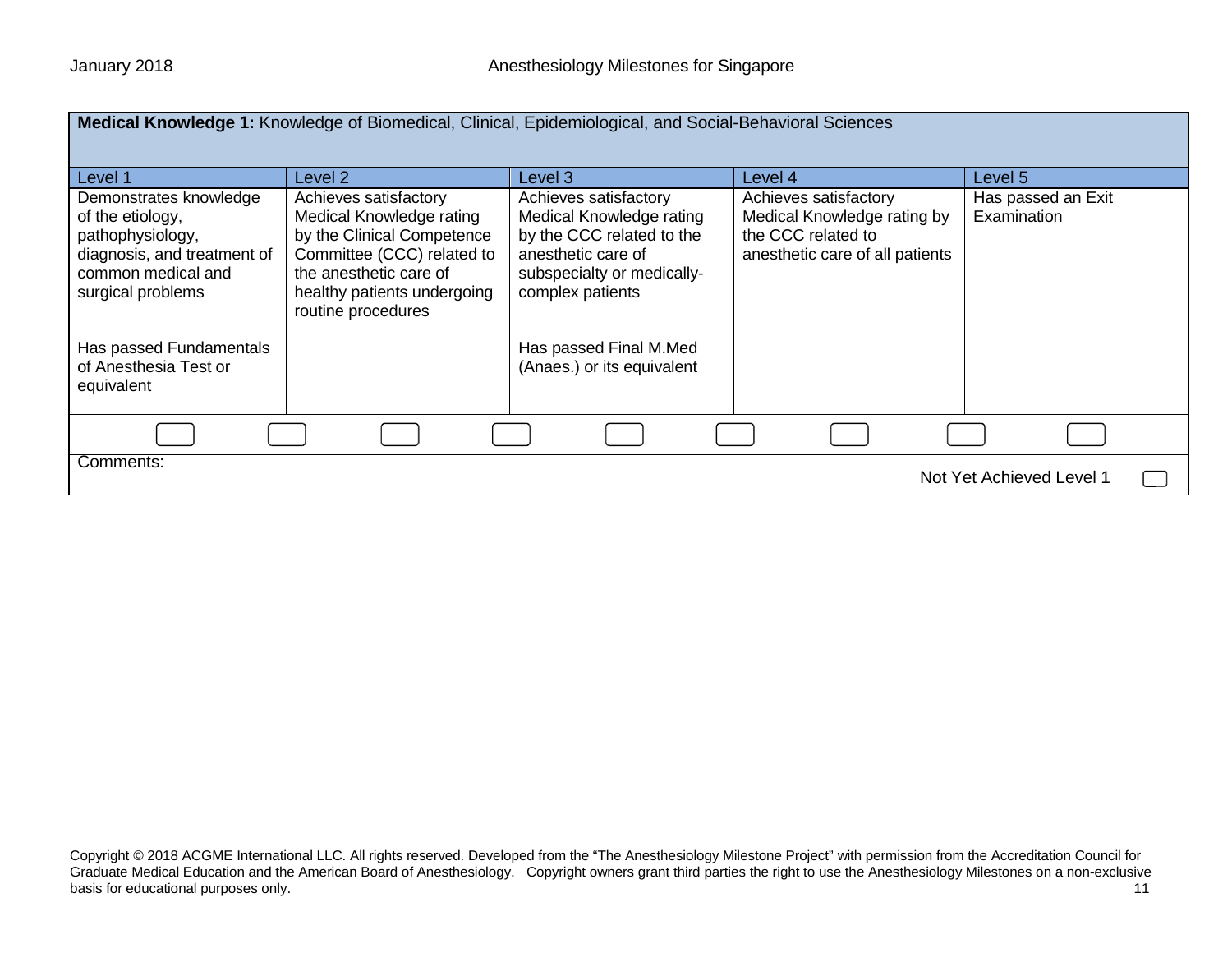|                                                                                                                                          | Medical Knowledge 1: Knowledge of Biomedical, Clinical, Epidemiological, and Social-Behavioral Sciences                                                                                      |                                                                                                                                                        |                                                                                                               |                                   |
|------------------------------------------------------------------------------------------------------------------------------------------|----------------------------------------------------------------------------------------------------------------------------------------------------------------------------------------------|--------------------------------------------------------------------------------------------------------------------------------------------------------|---------------------------------------------------------------------------------------------------------------|-----------------------------------|
| Level 1                                                                                                                                  | Level 2                                                                                                                                                                                      | Level 3                                                                                                                                                | Level 4                                                                                                       | Level 5                           |
| Demonstrates knowledge<br>of the etiology,<br>pathophysiology,<br>diagnosis, and treatment of<br>common medical and<br>surgical problems | Achieves satisfactory<br>Medical Knowledge rating<br>by the Clinical Competence<br>Committee (CCC) related to<br>the anesthetic care of<br>healthy patients undergoing<br>routine procedures | Achieves satisfactory<br>Medical Knowledge rating<br>by the CCC related to the<br>anesthetic care of<br>subspecialty or medically-<br>complex patients | Achieves satisfactory<br>Medical Knowledge rating by<br>the CCC related to<br>anesthetic care of all patients | Has passed an Exit<br>Examination |
| Has passed Fundamentals<br>of Anesthesia Test or<br>equivalent                                                                           |                                                                                                                                                                                              | Has passed Final M.Med<br>(Anaes.) or its equivalent                                                                                                   |                                                                                                               |                                   |
|                                                                                                                                          |                                                                                                                                                                                              |                                                                                                                                                        |                                                                                                               |                                   |
| Comments:<br>Not Yet Achieved Level 1                                                                                                    |                                                                                                                                                                                              |                                                                                                                                                        |                                                                                                               |                                   |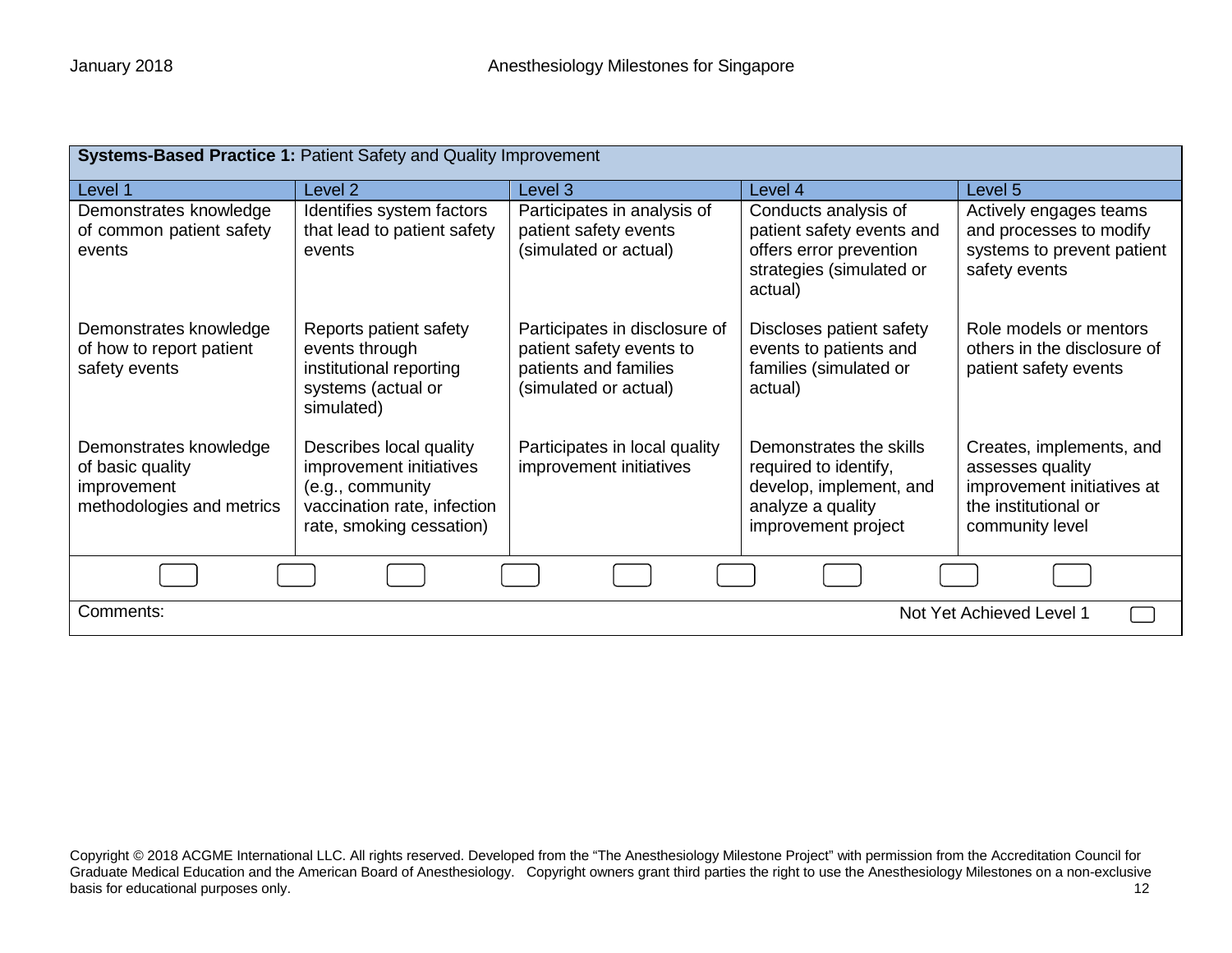| Systems-Based Practice 1: Patient Safety and Quality Improvement                       |                                                                                                                                   |                                                                                                             |                                                                                                                         |                                                                                                                       |  |
|----------------------------------------------------------------------------------------|-----------------------------------------------------------------------------------------------------------------------------------|-------------------------------------------------------------------------------------------------------------|-------------------------------------------------------------------------------------------------------------------------|-----------------------------------------------------------------------------------------------------------------------|--|
| Level 1                                                                                | Level <sub>2</sub>                                                                                                                | Level 3                                                                                                     | Level 4                                                                                                                 | Level 5                                                                                                               |  |
| Demonstrates knowledge<br>of common patient safety<br>events                           | Identifies system factors<br>that lead to patient safety<br>events                                                                | Participates in analysis of<br>patient safety events<br>(simulated or actual)                               | Conducts analysis of<br>patient safety events and<br>offers error prevention<br>strategies (simulated or<br>actual)     | Actively engages teams<br>and processes to modify<br>systems to prevent patient<br>safety events                      |  |
| Demonstrates knowledge<br>of how to report patient<br>safety events                    | Reports patient safety<br>events through<br>institutional reporting<br>systems (actual or<br>simulated)                           | Participates in disclosure of<br>patient safety events to<br>patients and families<br>(simulated or actual) | Discloses patient safety<br>events to patients and<br>families (simulated or<br>actual)                                 | Role models or mentors<br>others in the disclosure of<br>patient safety events                                        |  |
| Demonstrates knowledge<br>of basic quality<br>improvement<br>methodologies and metrics | Describes local quality<br>improvement initiatives<br>(e.g., community<br>vaccination rate, infection<br>rate, smoking cessation) | Participates in local quality<br>improvement initiatives                                                    | Demonstrates the skills<br>required to identify,<br>develop, implement, and<br>analyze a quality<br>improvement project | Creates, implements, and<br>assesses quality<br>improvement initiatives at<br>the institutional or<br>community level |  |
|                                                                                        |                                                                                                                                   |                                                                                                             |                                                                                                                         |                                                                                                                       |  |
| Comments:<br>Not Yet Achieved Level 1                                                  |                                                                                                                                   |                                                                                                             |                                                                                                                         |                                                                                                                       |  |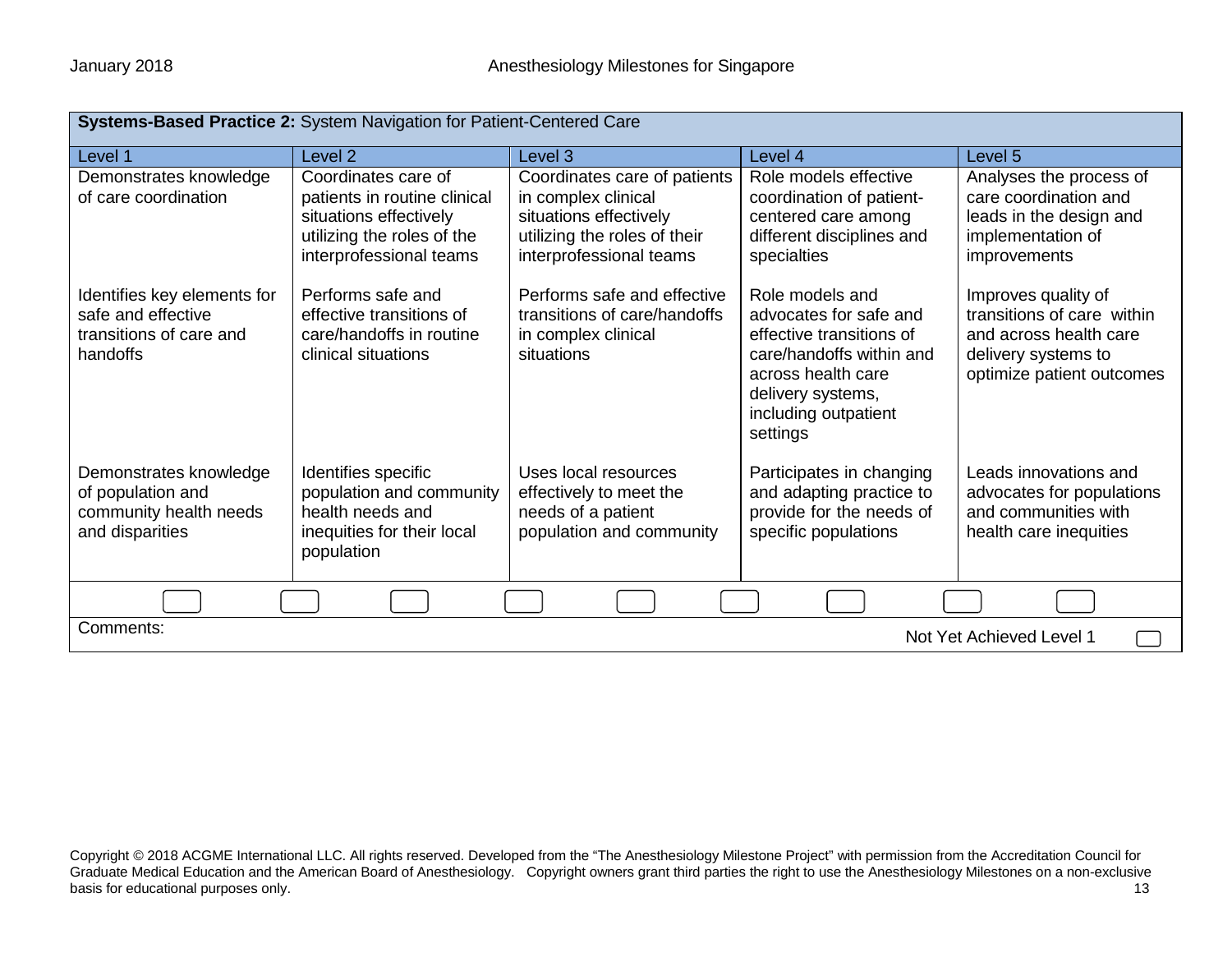| Systems-Based Practice 2: System Navigation for Patient-Centered Care                    |                                                                                                                                        |                                                                                                                                          |                                                                                                                                                                                  |                                                                                                                                 |  |
|------------------------------------------------------------------------------------------|----------------------------------------------------------------------------------------------------------------------------------------|------------------------------------------------------------------------------------------------------------------------------------------|----------------------------------------------------------------------------------------------------------------------------------------------------------------------------------|---------------------------------------------------------------------------------------------------------------------------------|--|
| Level 1                                                                                  | Level <sub>2</sub>                                                                                                                     | Level <sub>3</sub>                                                                                                                       | Level 4                                                                                                                                                                          | Level <sub>5</sub>                                                                                                              |  |
| Demonstrates knowledge<br>of care coordination                                           | Coordinates care of<br>patients in routine clinical<br>situations effectively<br>utilizing the roles of the<br>interprofessional teams | Coordinates care of patients<br>in complex clinical<br>situations effectively<br>utilizing the roles of their<br>interprofessional teams | Role models effective<br>coordination of patient-<br>centered care among<br>different disciplines and<br>specialties                                                             | Analyses the process of<br>care coordination and<br>leads in the design and<br>implementation of<br>improvements                |  |
| Identifies key elements for<br>safe and effective<br>transitions of care and<br>handoffs | Performs safe and<br>effective transitions of<br>care/handoffs in routine<br>clinical situations                                       | Performs safe and effective<br>transitions of care/handoffs<br>in complex clinical<br>situations                                         | Role models and<br>advocates for safe and<br>effective transitions of<br>care/handoffs within and<br>across health care<br>delivery systems,<br>including outpatient<br>settings | Improves quality of<br>transitions of care within<br>and across health care<br>delivery systems to<br>optimize patient outcomes |  |
| Demonstrates knowledge<br>of population and<br>community health needs<br>and disparities | Identifies specific<br>population and community<br>health needs and<br>inequities for their local<br>population                        | Uses local resources<br>effectively to meet the<br>needs of a patient<br>population and community                                        | Participates in changing<br>and adapting practice to<br>provide for the needs of<br>specific populations                                                                         | Leads innovations and<br>advocates for populations<br>and communities with<br>health care inequities                            |  |
|                                                                                          |                                                                                                                                        |                                                                                                                                          |                                                                                                                                                                                  |                                                                                                                                 |  |
| Comments:<br>Not Yet Achieved Level 1                                                    |                                                                                                                                        |                                                                                                                                          |                                                                                                                                                                                  |                                                                                                                                 |  |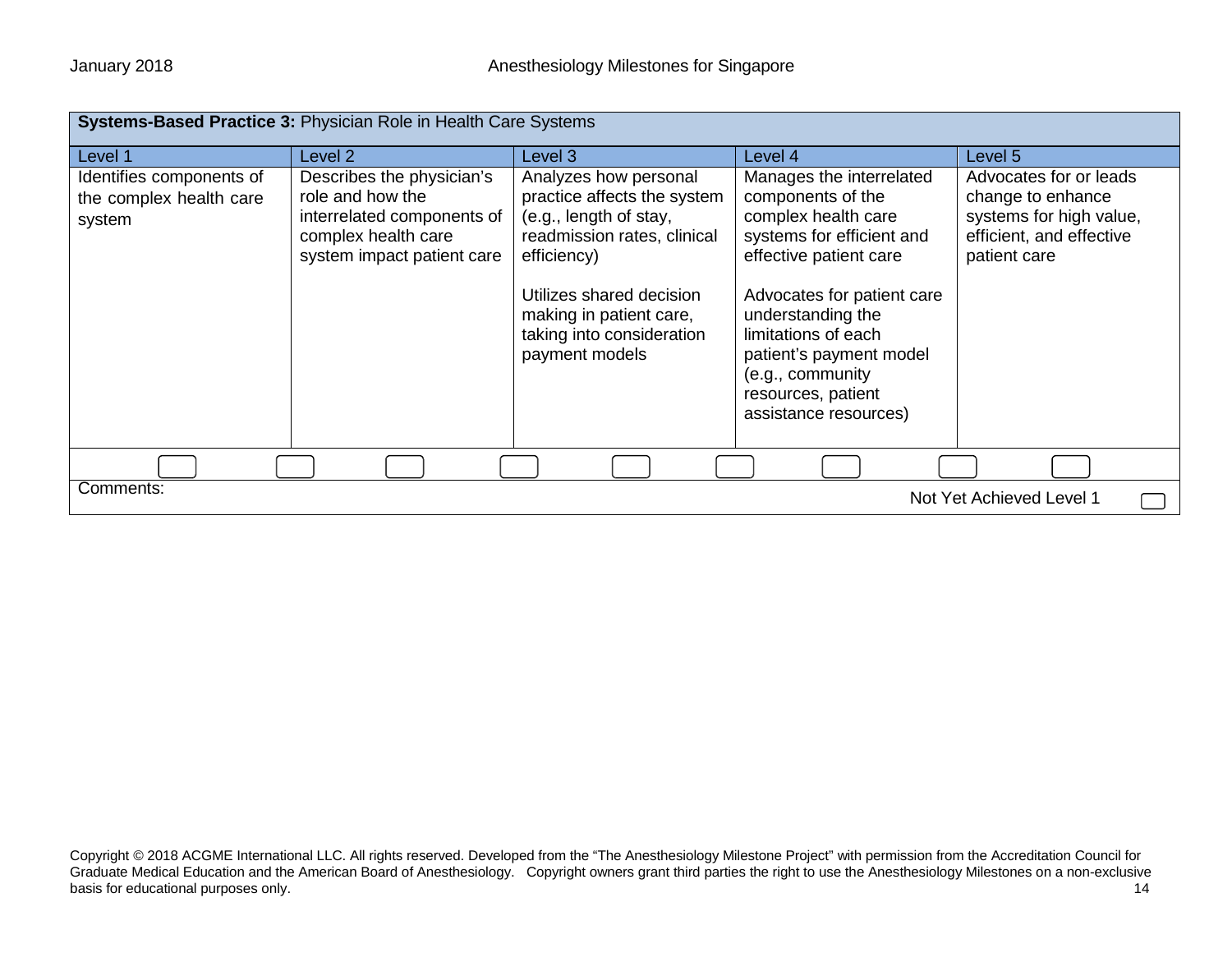| Systems-Based Practice 3: Physician Role in Health Care Systems |                                                                                                                                  |                                                                                                                                                                                                                                    |                                                                                                                                                                                                                                                                                                     |                                                                                                                    |  |
|-----------------------------------------------------------------|----------------------------------------------------------------------------------------------------------------------------------|------------------------------------------------------------------------------------------------------------------------------------------------------------------------------------------------------------------------------------|-----------------------------------------------------------------------------------------------------------------------------------------------------------------------------------------------------------------------------------------------------------------------------------------------------|--------------------------------------------------------------------------------------------------------------------|--|
| Level 1                                                         | Level <sub>2</sub>                                                                                                               | Level 3                                                                                                                                                                                                                            | Level 4                                                                                                                                                                                                                                                                                             | Level 5                                                                                                            |  |
| Identifies components of<br>the complex health care<br>system   | Describes the physician's<br>role and how the<br>interrelated components of<br>complex health care<br>system impact patient care | Analyzes how personal<br>practice affects the system<br>(e.g., length of stay,<br>readmission rates, clinical<br>efficiency)<br>Utilizes shared decision<br>making in patient care,<br>taking into consideration<br>payment models | Manages the interrelated<br>components of the<br>complex health care<br>systems for efficient and<br>effective patient care<br>Advocates for patient care<br>understanding the<br>limitations of each<br>patient's payment model<br>(e.g., community<br>resources, patient<br>assistance resources) | Advocates for or leads<br>change to enhance<br>systems for high value,<br>efficient, and effective<br>patient care |  |
|                                                                 |                                                                                                                                  |                                                                                                                                                                                                                                    |                                                                                                                                                                                                                                                                                                     |                                                                                                                    |  |
| Comments:<br>Not Yet Achieved Level 1                           |                                                                                                                                  |                                                                                                                                                                                                                                    |                                                                                                                                                                                                                                                                                                     |                                                                                                                    |  |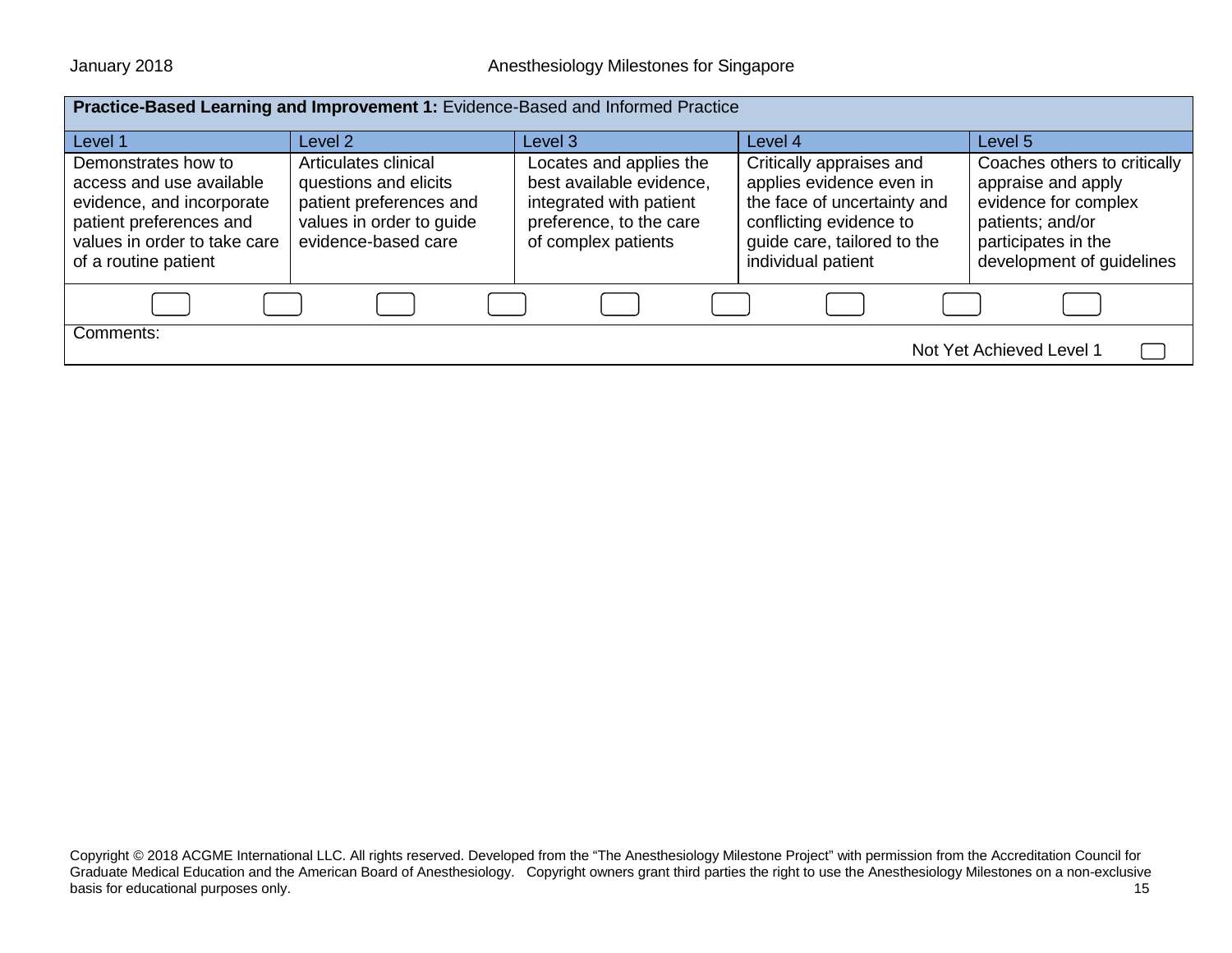| Practice-Based Learning and Improvement 1: Evidence-Based and Informed Practice                                                                                 |                                                                                                                             |                                                                                                                                  |                                                                                                                                                                     |                                                                                                                                                    |
|-----------------------------------------------------------------------------------------------------------------------------------------------------------------|-----------------------------------------------------------------------------------------------------------------------------|----------------------------------------------------------------------------------------------------------------------------------|---------------------------------------------------------------------------------------------------------------------------------------------------------------------|----------------------------------------------------------------------------------------------------------------------------------------------------|
|                                                                                                                                                                 |                                                                                                                             |                                                                                                                                  |                                                                                                                                                                     |                                                                                                                                                    |
| Level 1                                                                                                                                                         | Level 2                                                                                                                     | Level 3                                                                                                                          | Level 4                                                                                                                                                             | Level 5                                                                                                                                            |
| Demonstrates how to<br>access and use available<br>evidence, and incorporate<br>patient preferences and<br>values in order to take care<br>of a routine patient | Articulates clinical<br>questions and elicits<br>patient preferences and<br>values in order to guide<br>evidence-based care | Locates and applies the<br>best available evidence,<br>integrated with patient<br>preference, to the care<br>of complex patients | Critically appraises and<br>applies evidence even in<br>the face of uncertainty and<br>conflicting evidence to<br>guide care, tailored to the<br>individual patient | Coaches others to critically<br>appraise and apply<br>evidence for complex<br>patients; and/or<br>participates in the<br>development of guidelines |
|                                                                                                                                                                 |                                                                                                                             |                                                                                                                                  |                                                                                                                                                                     |                                                                                                                                                    |
| Comments:<br>Not Yet Achieved Level 1                                                                                                                           |                                                                                                                             |                                                                                                                                  |                                                                                                                                                                     |                                                                                                                                                    |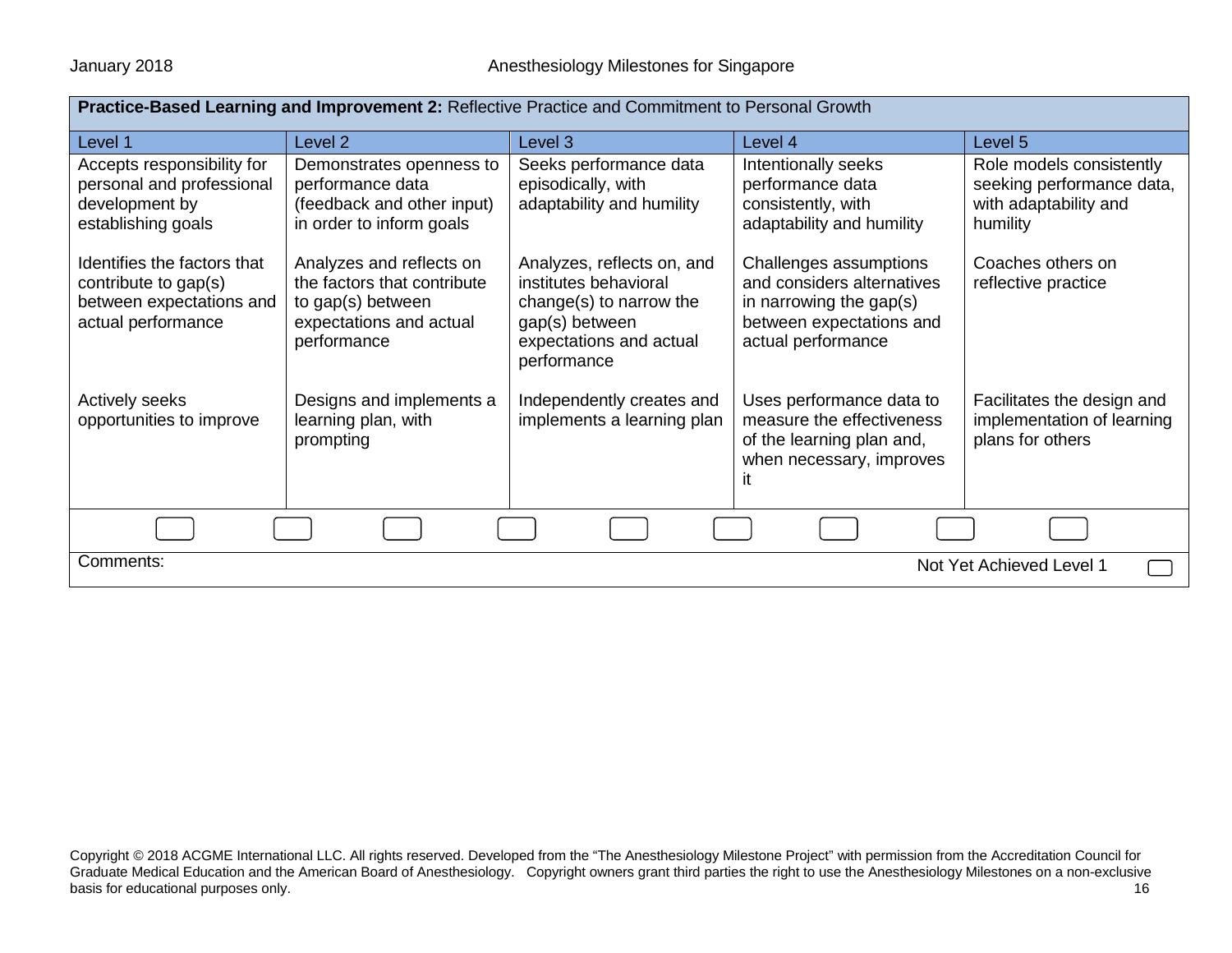| Practice-Based Learning and Improvement 2: Reflective Practice and Commitment to Personal Growth      |                                                                                                                        |                                                                                                                                            |                                                                                                                                   |                                                                                            |  |
|-------------------------------------------------------------------------------------------------------|------------------------------------------------------------------------------------------------------------------------|--------------------------------------------------------------------------------------------------------------------------------------------|-----------------------------------------------------------------------------------------------------------------------------------|--------------------------------------------------------------------------------------------|--|
| Level 1                                                                                               | Level <sub>2</sub>                                                                                                     | Level 3                                                                                                                                    | Level 4                                                                                                                           | Level 5                                                                                    |  |
| Accepts responsibility for<br>personal and professional<br>development by<br>establishing goals       | Demonstrates openness to<br>performance data<br>(feedback and other input)<br>in order to inform goals                 | Seeks performance data<br>episodically, with<br>adaptability and humility                                                                  | Intentionally seeks<br>performance data<br>consistently, with<br>adaptability and humility                                        | Role models consistently<br>seeking performance data,<br>with adaptability and<br>humility |  |
| Identifies the factors that<br>contribute to gap(s)<br>between expectations and<br>actual performance | Analyzes and reflects on<br>the factors that contribute<br>to gap(s) between<br>expectations and actual<br>performance | Analyzes, reflects on, and<br>institutes behavioral<br>change(s) to narrow the<br>gap(s) between<br>expectations and actual<br>performance | Challenges assumptions<br>and considers alternatives<br>in narrowing the gap(s)<br>between expectations and<br>actual performance | Coaches others on<br>reflective practice                                                   |  |
| Actively seeks<br>opportunities to improve                                                            | Designs and implements a<br>learning plan, with<br>prompting                                                           | Independently creates and<br>implements a learning plan                                                                                    | Uses performance data to<br>measure the effectiveness<br>of the learning plan and,<br>when necessary, improves<br>it              | Facilitates the design and<br>implementation of learning<br>plans for others               |  |
|                                                                                                       |                                                                                                                        |                                                                                                                                            |                                                                                                                                   |                                                                                            |  |
| Comments:<br>Not Yet Achieved Level 1                                                                 |                                                                                                                        |                                                                                                                                            |                                                                                                                                   |                                                                                            |  |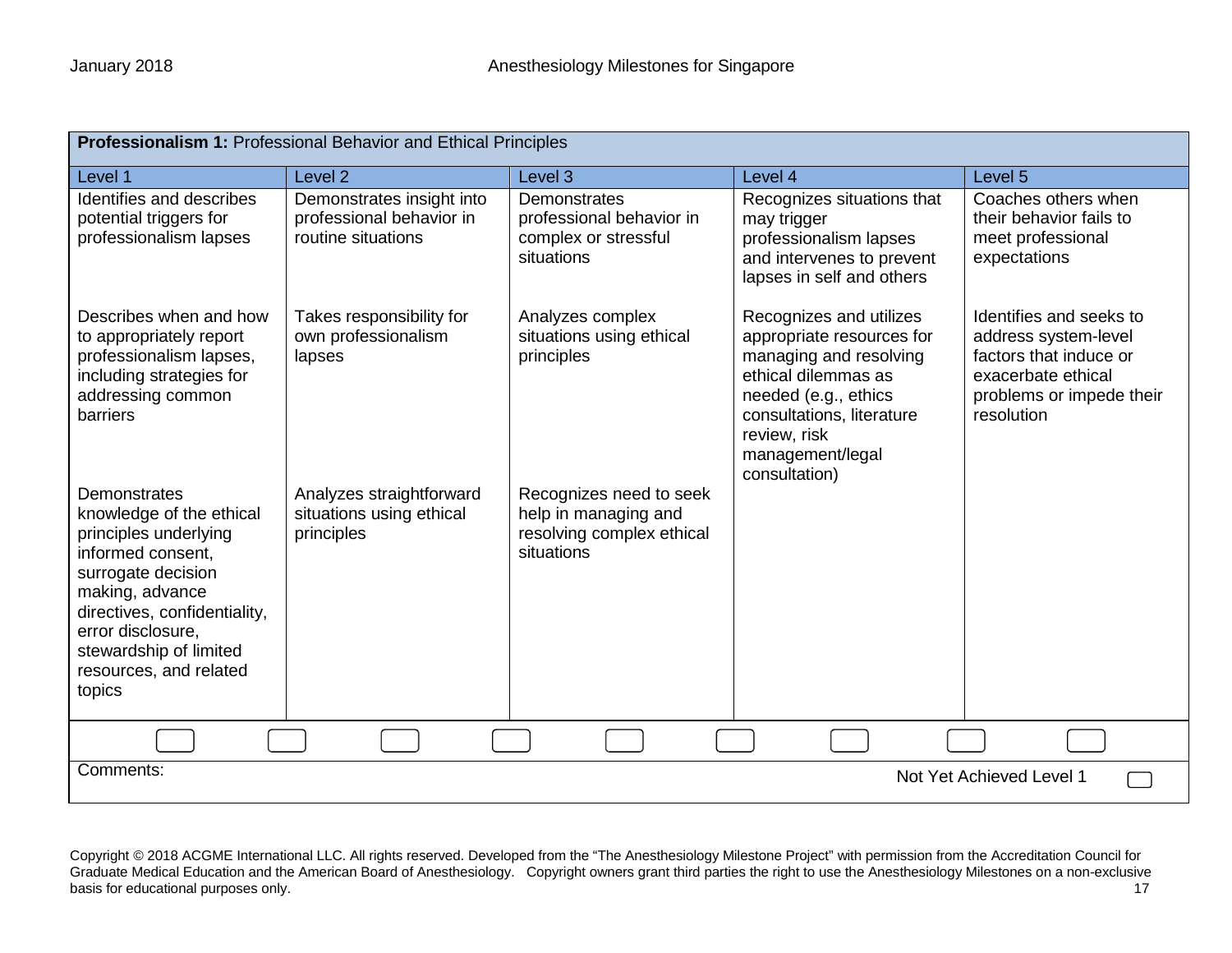| Professionalism 1: Professional Behavior and Ethical Principles                                                                                                                                                                                    |                                                                             |                                                                                            |                                                                                                                                                                                                                 |                                                                                                                                           |  |
|----------------------------------------------------------------------------------------------------------------------------------------------------------------------------------------------------------------------------------------------------|-----------------------------------------------------------------------------|--------------------------------------------------------------------------------------------|-----------------------------------------------------------------------------------------------------------------------------------------------------------------------------------------------------------------|-------------------------------------------------------------------------------------------------------------------------------------------|--|
| Level 1                                                                                                                                                                                                                                            | Level <sub>2</sub>                                                          | Level 3                                                                                    | Level 4                                                                                                                                                                                                         | Level 5                                                                                                                                   |  |
| Identifies and describes<br>potential triggers for<br>professionalism lapses                                                                                                                                                                       | Demonstrates insight into<br>professional behavior in<br>routine situations | Demonstrates<br>professional behavior in<br>complex or stressful<br>situations             | Recognizes situations that<br>may trigger<br>professionalism lapses<br>and intervenes to prevent<br>lapses in self and others                                                                                   | Coaches others when<br>their behavior fails to<br>meet professional<br>expectations                                                       |  |
| Describes when and how<br>to appropriately report<br>professionalism lapses,<br>including strategies for<br>addressing common<br>barriers                                                                                                          | Takes responsibility for<br>own professionalism<br>lapses                   | Analyzes complex<br>situations using ethical<br>principles                                 | Recognizes and utilizes<br>appropriate resources for<br>managing and resolving<br>ethical dilemmas as<br>needed (e.g., ethics<br>consultations, literature<br>review, risk<br>management/legal<br>consultation) | Identifies and seeks to<br>address system-level<br>factors that induce or<br>exacerbate ethical<br>problems or impede their<br>resolution |  |
| Demonstrates<br>knowledge of the ethical<br>principles underlying<br>informed consent,<br>surrogate decision<br>making, advance<br>directives, confidentiality,<br>error disclosure,<br>stewardship of limited<br>resources, and related<br>topics | Analyzes straightforward<br>situations using ethical<br>principles          | Recognizes need to seek<br>help in managing and<br>resolving complex ethical<br>situations |                                                                                                                                                                                                                 |                                                                                                                                           |  |
|                                                                                                                                                                                                                                                    |                                                                             |                                                                                            |                                                                                                                                                                                                                 |                                                                                                                                           |  |
| Comments:<br>Not Yet Achieved Level 1                                                                                                                                                                                                              |                                                                             |                                                                                            |                                                                                                                                                                                                                 |                                                                                                                                           |  |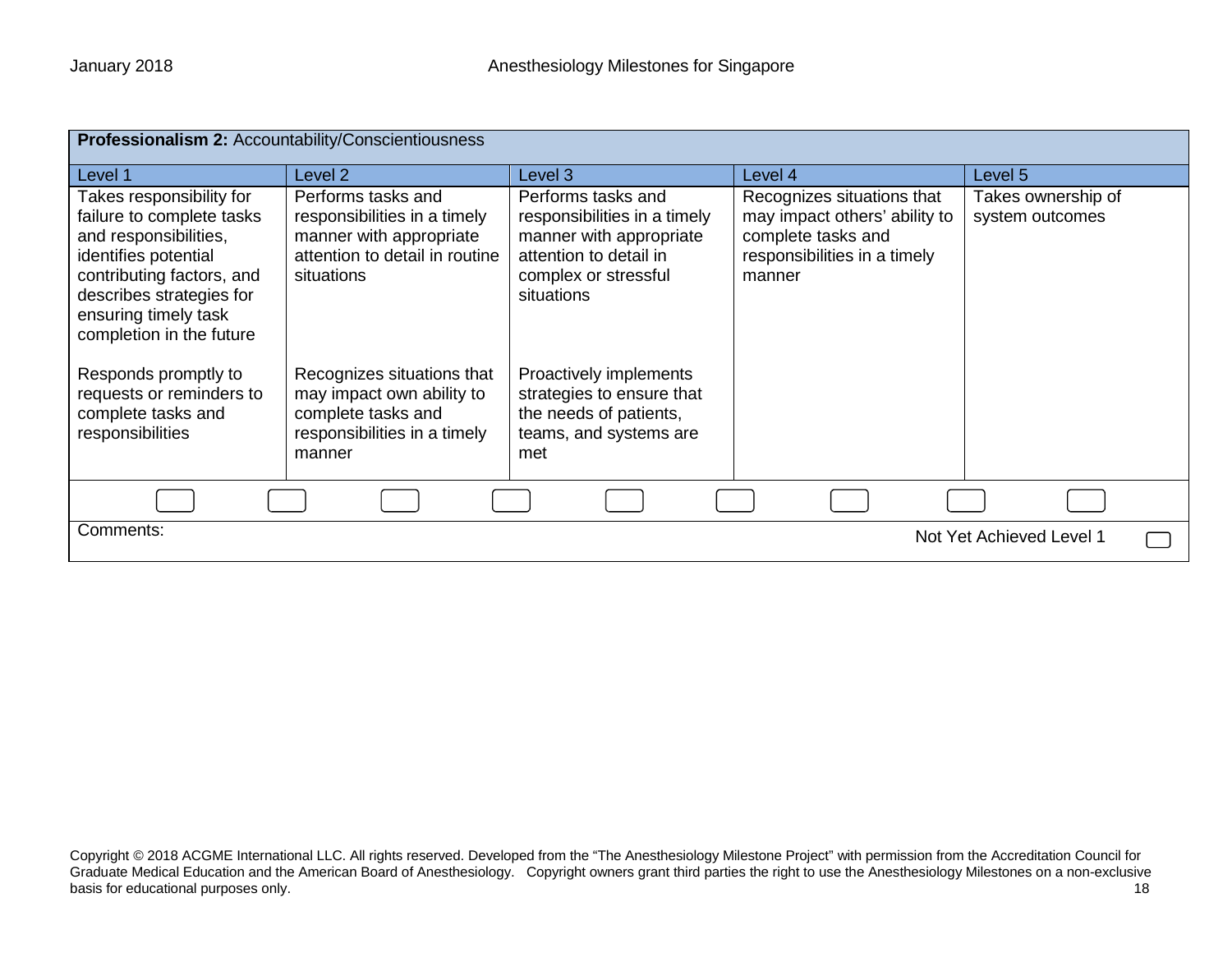| Professionalism 2: Accountability/Conscientiousness                                                                                                                                                                 |                                                                                                                               |                                                                                                                                               |                                                                                                                             |                                       |
|---------------------------------------------------------------------------------------------------------------------------------------------------------------------------------------------------------------------|-------------------------------------------------------------------------------------------------------------------------------|-----------------------------------------------------------------------------------------------------------------------------------------------|-----------------------------------------------------------------------------------------------------------------------------|---------------------------------------|
| Level 1                                                                                                                                                                                                             | Level 2                                                                                                                       | Level 3                                                                                                                                       | Level 4                                                                                                                     | Level 5                               |
| Takes responsibility for<br>failure to complete tasks<br>and responsibilities,<br>identifies potential<br>contributing factors, and<br>describes strategies for<br>ensuring timely task<br>completion in the future | Performs tasks and<br>responsibilities in a timely<br>manner with appropriate<br>attention to detail in routine<br>situations | Performs tasks and<br>responsibilities in a timely<br>manner with appropriate<br>attention to detail in<br>complex or stressful<br>situations | Recognizes situations that<br>may impact others' ability to<br>complete tasks and<br>responsibilities in a timely<br>manner | Takes ownership of<br>system outcomes |
| Responds promptly to<br>requests or reminders to<br>complete tasks and<br>responsibilities                                                                                                                          | Recognizes situations that<br>may impact own ability to<br>complete tasks and<br>responsibilities in a timely<br>manner       | Proactively implements<br>strategies to ensure that<br>the needs of patients,<br>teams, and systems are<br>met                                |                                                                                                                             |                                       |
|                                                                                                                                                                                                                     |                                                                                                                               |                                                                                                                                               |                                                                                                                             |                                       |
| Comments:<br>Not Yet Achieved Level 1                                                                                                                                                                               |                                                                                                                               |                                                                                                                                               |                                                                                                                             |                                       |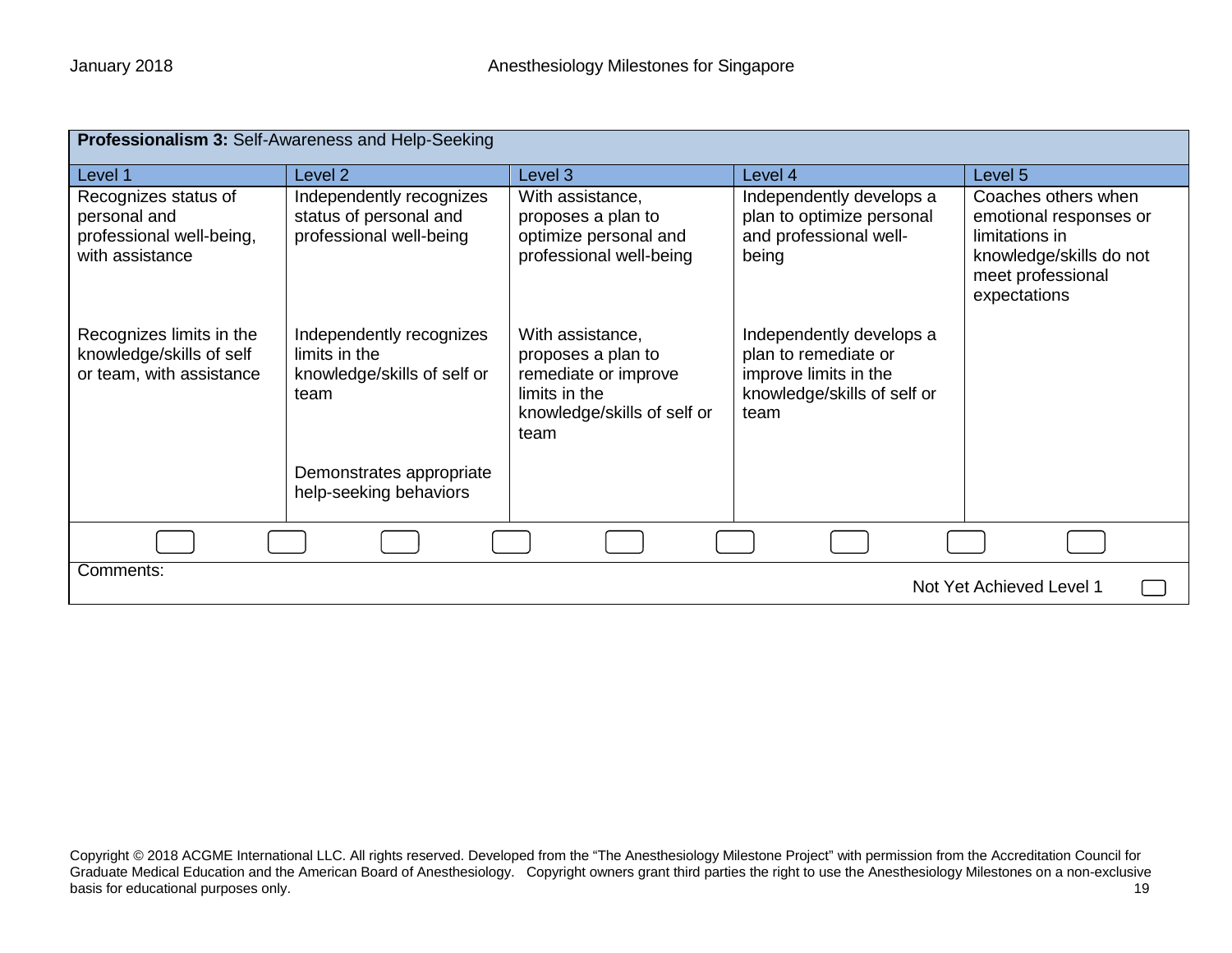| Professionalism 3: Self-Awareness and Help-Seeking                                  |                                                                                  |                                                                                                                        |                                                                                                                  |                                                                                                                                 |
|-------------------------------------------------------------------------------------|----------------------------------------------------------------------------------|------------------------------------------------------------------------------------------------------------------------|------------------------------------------------------------------------------------------------------------------|---------------------------------------------------------------------------------------------------------------------------------|
| Level 1                                                                             | Level <sub>2</sub>                                                               | Level 3                                                                                                                | Level 4                                                                                                          | Level 5                                                                                                                         |
| Recognizes status of<br>personal and<br>professional well-being,<br>with assistance | Independently recognizes<br>status of personal and<br>professional well-being    | With assistance,<br>proposes a plan to<br>optimize personal and<br>professional well-being                             | Independently develops a<br>plan to optimize personal<br>and professional well-<br>being                         | Coaches others when<br>emotional responses or<br>limitations in<br>knowledge/skills do not<br>meet professional<br>expectations |
| Recognizes limits in the<br>knowledge/skills of self<br>or team, with assistance    | Independently recognizes<br>limits in the<br>knowledge/skills of self or<br>team | With assistance,<br>proposes a plan to<br>remediate or improve<br>limits in the<br>knowledge/skills of self or<br>team | Independently develops a<br>plan to remediate or<br>improve limits in the<br>knowledge/skills of self or<br>team |                                                                                                                                 |
|                                                                                     | Demonstrates appropriate<br>help-seeking behaviors                               |                                                                                                                        |                                                                                                                  |                                                                                                                                 |
|                                                                                     |                                                                                  |                                                                                                                        |                                                                                                                  |                                                                                                                                 |
| Comments:                                                                           |                                                                                  |                                                                                                                        |                                                                                                                  | Not Yet Achieved Level 1                                                                                                        |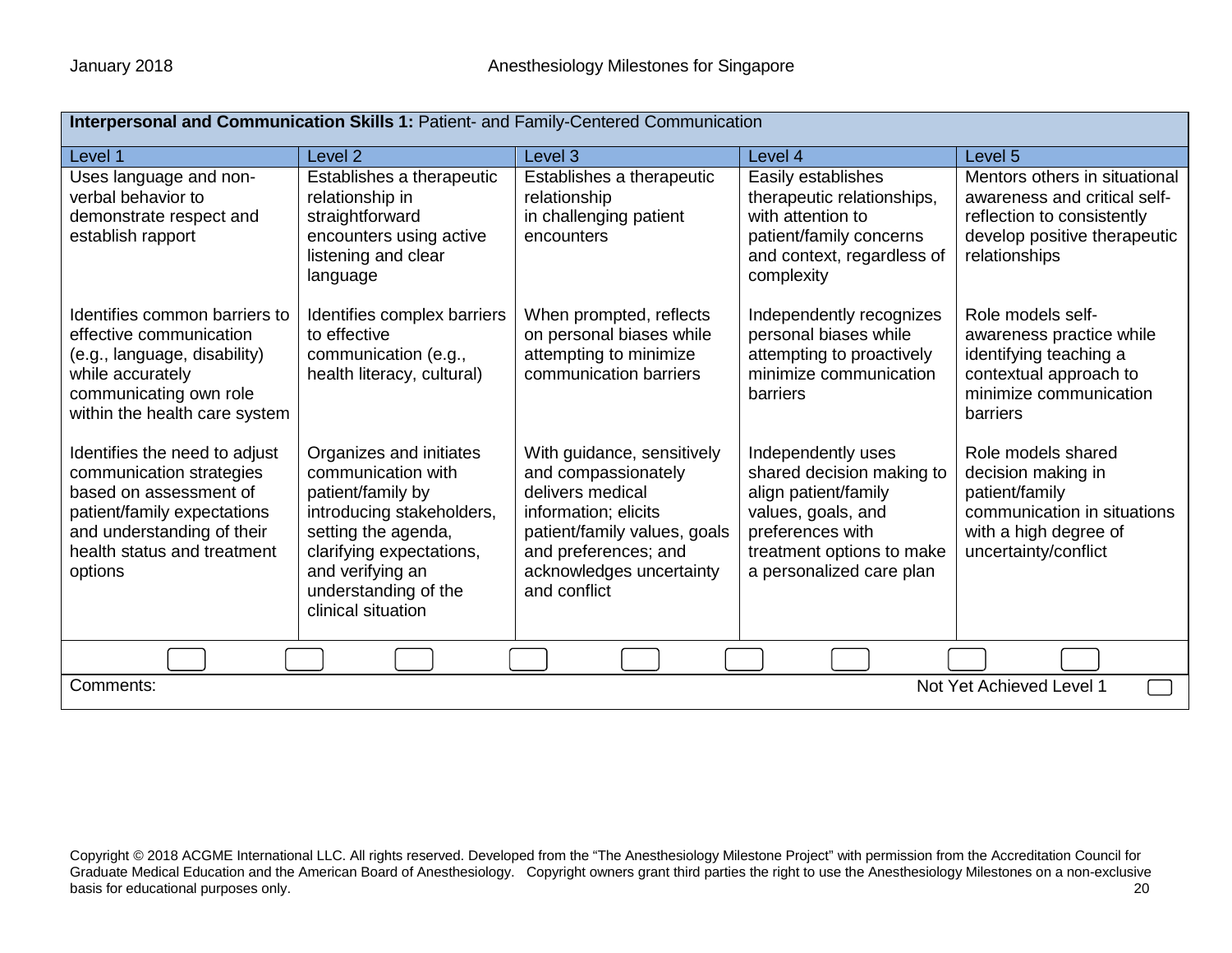| Interpersonal and Communication Skills 1: Patient- and Family-Centered Communication                                                                                                       |                                                                                                                                                                                                                      |                                                                                                                                                                                                   |                                                                                                                                                                            |                                                                                                                                              |  |
|--------------------------------------------------------------------------------------------------------------------------------------------------------------------------------------------|----------------------------------------------------------------------------------------------------------------------------------------------------------------------------------------------------------------------|---------------------------------------------------------------------------------------------------------------------------------------------------------------------------------------------------|----------------------------------------------------------------------------------------------------------------------------------------------------------------------------|----------------------------------------------------------------------------------------------------------------------------------------------|--|
| Level 1                                                                                                                                                                                    | Level <sub>2</sub>                                                                                                                                                                                                   | Level 3                                                                                                                                                                                           | Level 4                                                                                                                                                                    | Level 5                                                                                                                                      |  |
| Uses language and non-<br>verbal behavior to<br>demonstrate respect and<br>establish rapport                                                                                               | Establishes a therapeutic<br>relationship in<br>straightforward<br>encounters using active<br>listening and clear<br>language                                                                                        | Establishes a therapeutic<br>relationship<br>in challenging patient<br>encounters                                                                                                                 | Easily establishes<br>therapeutic relationships,<br>with attention to<br>patient/family concerns<br>and context, regardless of<br>complexity                               | Mentors others in situational<br>awareness and critical self-<br>reflection to consistently<br>develop positive therapeutic<br>relationships |  |
| Identifies common barriers to<br>effective communication<br>(e.g., language, disability)<br>while accurately<br>communicating own role<br>within the health care system                    | Identifies complex barriers<br>to effective<br>communication (e.g.,<br>health literacy, cultural)                                                                                                                    | When prompted, reflects<br>on personal biases while<br>attempting to minimize<br>communication barriers                                                                                           | Independently recognizes<br>personal biases while<br>attempting to proactively<br>minimize communication<br>barriers                                                       | Role models self-<br>awareness practice while<br>identifying teaching a<br>contextual approach to<br>minimize communication<br>barriers      |  |
| Identifies the need to adjust<br>communication strategies<br>based on assessment of<br>patient/family expectations<br>and understanding of their<br>health status and treatment<br>options | Organizes and initiates<br>communication with<br>patient/family by<br>introducing stakeholders,<br>setting the agenda,<br>clarifying expectations,<br>and verifying an<br>understanding of the<br>clinical situation | With guidance, sensitively<br>and compassionately<br>delivers medical<br>information; elicits<br>patient/family values, goals<br>and preferences; and<br>acknowledges uncertainty<br>and conflict | Independently uses<br>shared decision making to<br>align patient/family<br>values, goals, and<br>preferences with<br>treatment options to make<br>a personalized care plan | Role models shared<br>decision making in<br>patient/family<br>communication in situations<br>with a high degree of<br>uncertainty/conflict   |  |
|                                                                                                                                                                                            |                                                                                                                                                                                                                      |                                                                                                                                                                                                   |                                                                                                                                                                            |                                                                                                                                              |  |
| Comments:<br>Not Yet Achieved Level 1                                                                                                                                                      |                                                                                                                                                                                                                      |                                                                                                                                                                                                   |                                                                                                                                                                            |                                                                                                                                              |  |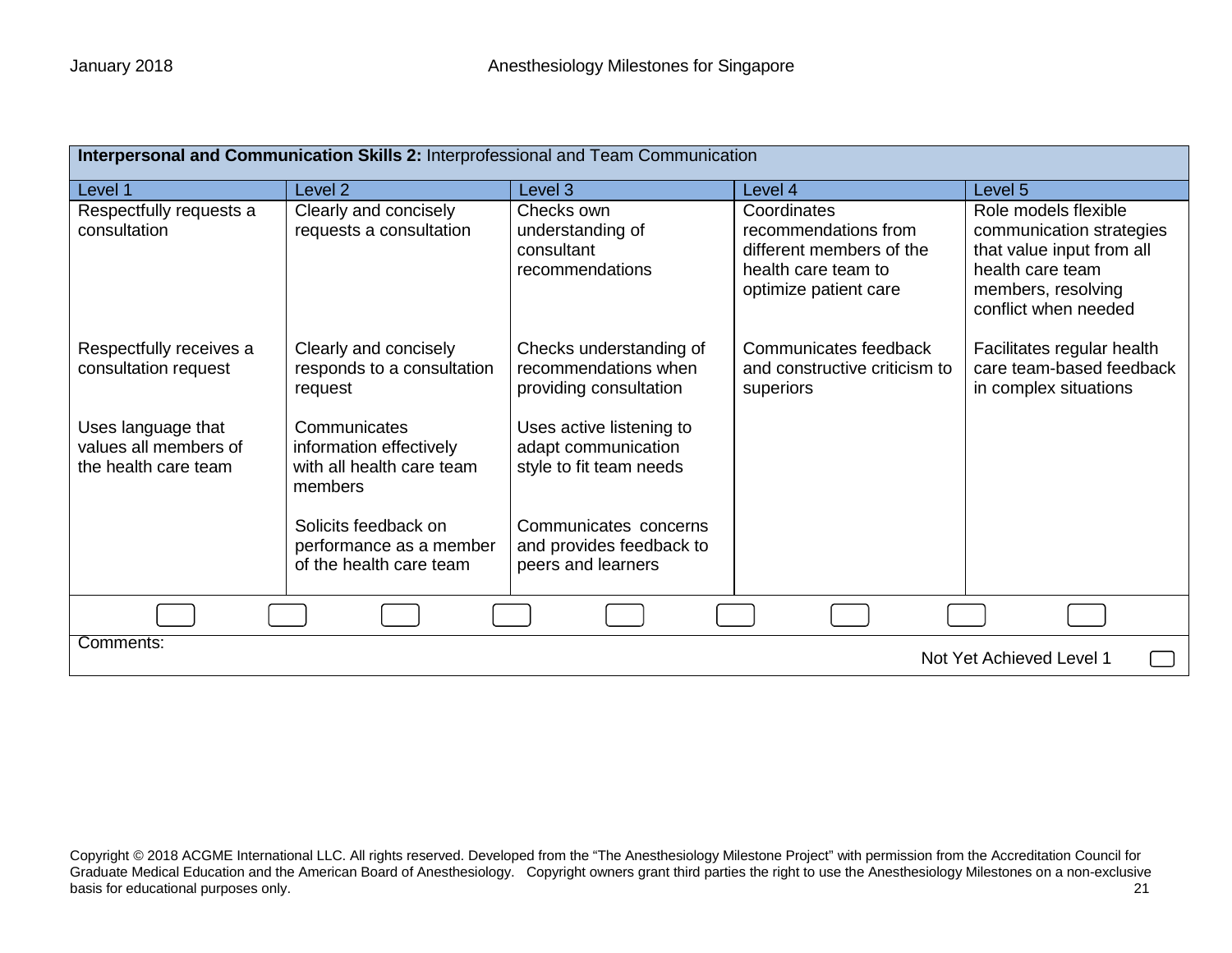| Interpersonal and Communication Skills 2: Interprofessional and Team Communication |                                                                                 |                                                                            |                                                                                                                 |                                                                                                                                                 |
|------------------------------------------------------------------------------------|---------------------------------------------------------------------------------|----------------------------------------------------------------------------|-----------------------------------------------------------------------------------------------------------------|-------------------------------------------------------------------------------------------------------------------------------------------------|
| Level 1                                                                            | Level <sub>2</sub>                                                              | Level 3                                                                    | Level 4                                                                                                         | Level 5                                                                                                                                         |
| Respectfully requests a<br>consultation                                            | Clearly and concisely<br>requests a consultation                                | Checks own<br>understanding of<br>consultant<br>recommendations            | Coordinates<br>recommendations from<br>different members of the<br>health care team to<br>optimize patient care | Role models flexible<br>communication strategies<br>that value input from all<br>health care team<br>members, resolving<br>conflict when needed |
| Respectfully receives a<br>consultation request                                    | Clearly and concisely<br>responds to a consultation<br>request                  | Checks understanding of<br>recommendations when<br>providing consultation  | Communicates feedback<br>and constructive criticism to<br>superiors                                             | Facilitates regular health<br>care team-based feedback<br>in complex situations                                                                 |
| Uses language that<br>values all members of<br>the health care team                | Communicates<br>information effectively<br>with all health care team<br>members | Uses active listening to<br>adapt communication<br>style to fit team needs |                                                                                                                 |                                                                                                                                                 |
|                                                                                    | Solicits feedback on<br>performance as a member<br>of the health care team      | Communicates concerns<br>and provides feedback to<br>peers and learners    |                                                                                                                 |                                                                                                                                                 |
|                                                                                    |                                                                                 |                                                                            |                                                                                                                 |                                                                                                                                                 |
| Comments:<br>Not Yet Achieved Level 1                                              |                                                                                 |                                                                            |                                                                                                                 |                                                                                                                                                 |